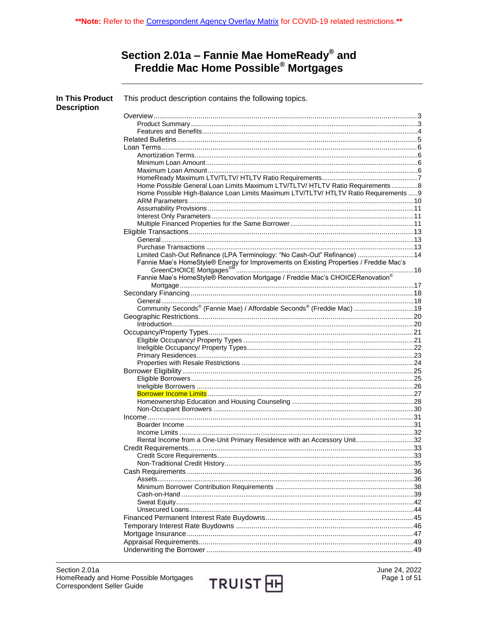# Section 2.01a – Fannie Mae HomeReady® and<br>Freddie Mac Home Possible® Mortgages

| In This Product<br><b>Description</b> | This product description contains the following topics.                                        |  |
|---------------------------------------|------------------------------------------------------------------------------------------------|--|
|                                       |                                                                                                |  |
|                                       |                                                                                                |  |
|                                       |                                                                                                |  |
|                                       |                                                                                                |  |
|                                       |                                                                                                |  |
|                                       |                                                                                                |  |
|                                       |                                                                                                |  |
|                                       |                                                                                                |  |
|                                       |                                                                                                |  |
|                                       | Home Possible General Loan Limits Maximum LTV/TLTV/ HTLTV Ratio Requirements8                  |  |
|                                       | Home Possible High-Balance Loan Limits Maximum LTV/TLTV/ HTLTV Ratio Requirements 9            |  |
|                                       |                                                                                                |  |
|                                       |                                                                                                |  |
|                                       |                                                                                                |  |
|                                       |                                                                                                |  |
|                                       |                                                                                                |  |
|                                       |                                                                                                |  |
|                                       |                                                                                                |  |
|                                       | Limited Cash-Out Refinance (LPA Terminology: "No Cash-Out" Refinance)  14                      |  |
|                                       |                                                                                                |  |
|                                       | Fannie Mae's HomeStyle® Renovation Mortgage / Freddie Mac's CHOICERenovation®                  |  |
|                                       |                                                                                                |  |
|                                       |                                                                                                |  |
|                                       | Community Seconds <sup>®</sup> (Fannie Mae) / Affordable Seconds <sup>®</sup> (Freddie Mac) 19 |  |
|                                       |                                                                                                |  |
|                                       |                                                                                                |  |
|                                       |                                                                                                |  |
|                                       |                                                                                                |  |
|                                       |                                                                                                |  |
|                                       |                                                                                                |  |
|                                       |                                                                                                |  |
|                                       |                                                                                                |  |
|                                       |                                                                                                |  |
|                                       |                                                                                                |  |
|                                       |                                                                                                |  |
|                                       |                                                                                                |  |
|                                       |                                                                                                |  |
|                                       |                                                                                                |  |
|                                       |                                                                                                |  |
|                                       |                                                                                                |  |
|                                       | Rental Income from a One-Unit Primary Residence with an Accessory Unit32                       |  |
|                                       |                                                                                                |  |
|                                       |                                                                                                |  |
|                                       |                                                                                                |  |
|                                       |                                                                                                |  |
|                                       |                                                                                                |  |
|                                       |                                                                                                |  |
|                                       |                                                                                                |  |
|                                       |                                                                                                |  |
|                                       |                                                                                                |  |
|                                       |                                                                                                |  |
|                                       |                                                                                                |  |
|                                       |                                                                                                |  |
|                                       |                                                                                                |  |
|                                       |                                                                                                |  |
|                                       |                                                                                                |  |

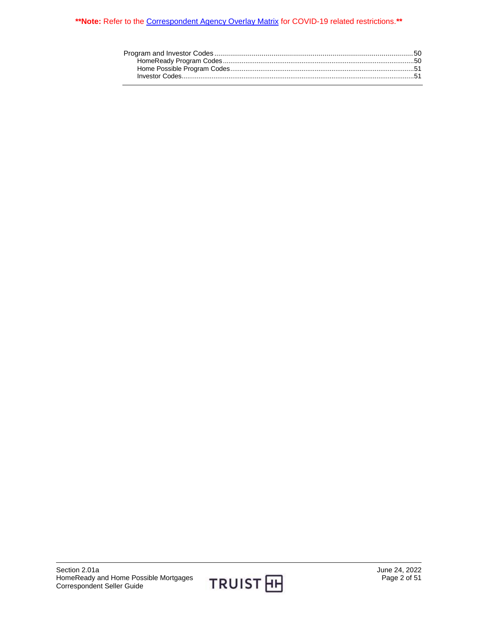#### **\*\*Note:** Refer to the [Correspondent Agency Overlay Matrix](https://www.truistsellerguide.com/manual/cor/products/CAgencyCreditOverlays.pdf) for COVID-19 related restrictions.**\*\***

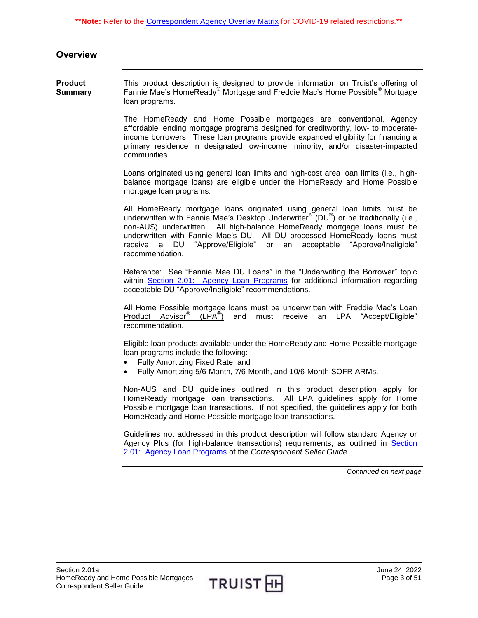### <span id="page-2-0"></span>**Overview**

<span id="page-2-1"></span>**Product Summary** This product description is designed to provide information on Truist's offering of Fannie Mae's HomeReady® Mortgage and Freddie Mac's Home Possible® Mortgage loan programs.

> The HomeReady and Home Possible mortgages are conventional, Agency affordable lending mortgage programs designed for creditworthy, low- to moderateincome borrowers. These loan programs provide expanded eligibility for financing a primary residence in designated low-income, minority, and/or disaster-impacted communities.

> Loans originated using general loan limits and high-cost area loan limits (i.e., highbalance mortgage loans) are eligible under the HomeReady and Home Possible mortgage loan programs.

> All HomeReady mortgage loans originated using general loan limits must be underwritten with Fannie Mae's Desktop Underwriter® (DU®) or be traditionally (i.e., non-AUS) underwritten. All high-balance HomeReady mortgage loans must be underwritten with Fannie Mae's DU. All DU processed HomeReady loans must receive a DU "Approve/Eligible" or an acceptable "Approve/Ineligible" recommendation.

> Reference: See "Fannie Mae DU Loans" in the "Underwriting the Borrower" topic within [Section 2.01: Agency Loan Programs](https://truistsellerguide.com/manual/cor/products/CAgency.pdf) for additional information regarding acceptable DU "Approve/Ineligible" recommendations.

> All Home Possible mortgage loans must be underwritten with Freddie Mac's Loan Product Advisor<sup>®</sup> (LPA<sup>®</sup>) and must receive an LPA "Accept/Eligible" recommendation.

> Eligible loan products available under the HomeReady and Home Possible mortgage loan programs include the following:

- Fully Amortizing Fixed Rate, and
- Fully Amortizing 5/6-Month, 7/6-Month, and 10/6-Month SOFR ARMs.

Non-AUS and DU guidelines outlined in this product description apply for HomeReady mortgage loan transactions. All LPA guidelines apply for Home Possible mortgage loan transactions. If not specified, the guidelines apply for both HomeReady and Home Possible mortgage loan transactions.

Guidelines not addressed in this product description will follow standard Agency or Agency Plus (for high-balance transactions) requirements, as outlined in [Section](https://truistsellerguide.com/manual/cor/products/CAgency.pdf)  [2.01: Agency Loan Programs](https://truistsellerguide.com/manual/cor/products/CAgency.pdf) of the *Correspondent Seller Guide*.

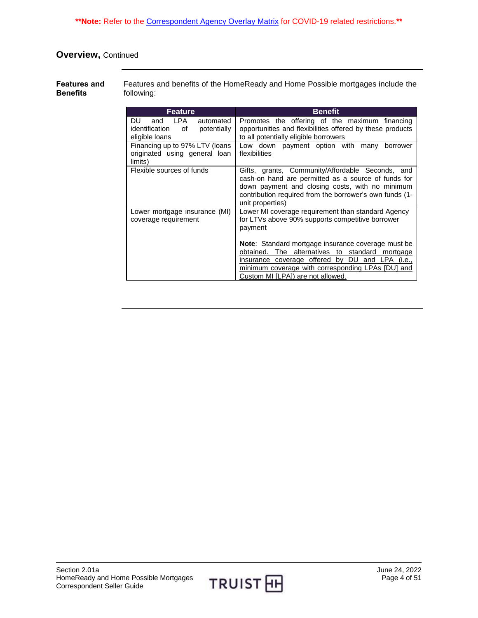**\*\*Note:** Refer to the [Correspondent Agency Overlay Matrix](https://www.truistsellerguide.com/manual/cor/products/CAgencyCreditOverlays.pdf) for COVID-19 related restrictions.**\*\***

# **Overview,** Continued

<span id="page-3-0"></span>**Features and Benefits** Features and benefits of the HomeReady and Home Possible mortgages include the following:

| Feature                                                                    | <b>Benefit</b>                                                                                                                                                                                                                                               |
|----------------------------------------------------------------------------|--------------------------------------------------------------------------------------------------------------------------------------------------------------------------------------------------------------------------------------------------------------|
| DU.<br>LPA.<br>and<br>automated                                            | Promotes the offering of the maximum financing                                                                                                                                                                                                               |
| identification<br>potentially<br>οf                                        | opportunities and flexibilities offered by these products                                                                                                                                                                                                    |
| eligible loans                                                             | to all potentially eligible borrowers                                                                                                                                                                                                                        |
| Financing up to 97% LTV (loans<br>originated using general loan<br>limits) | Low down payment option with<br>borrower<br>many<br>flexibilities                                                                                                                                                                                            |
| Flexible sources of funds                                                  | Gifts, grants, Community/Affordable Seconds, and<br>cash-on hand are permitted as a source of funds for<br>down payment and closing costs, with no minimum<br>contribution required from the borrower's own funds (1-<br>unit properties)                    |
| Lower mortgage insurance (MI)<br>coverage requirement                      | Lower MI coverage requirement than standard Agency<br>for LTVs above 90% supports competitive borrower<br>payment                                                                                                                                            |
|                                                                            | <b>Note:</b> Standard mortgage insurance coverage must be<br>obtained. The alternatives to standard mortgage<br>insurance coverage offered by<br>DU and LPA (i.e.,<br>minimum coverage with corresponding LPAs [DU] and<br>Custom MI [LPA]) are not allowed. |

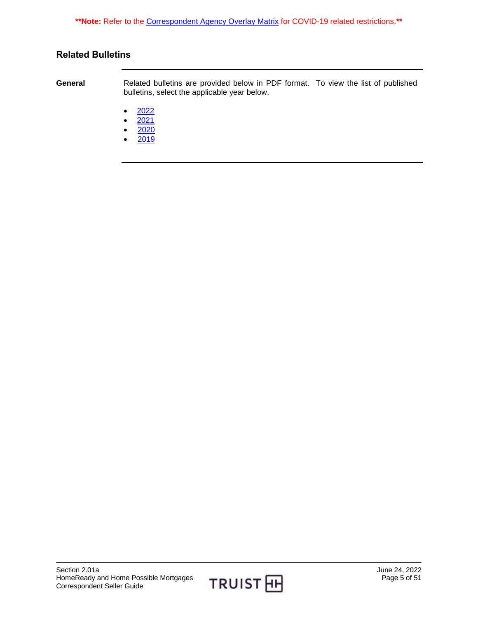**\*\*Note:** Refer to the [Correspondent Agency Overlay Matrix](https://www.truistsellerguide.com/manual/cor/products/CAgencyCreditOverlays.pdf) for COVID-19 related restrictions.**\*\***

# <span id="page-4-0"></span>**Related Bulletins**

**General** Related bulletins are provided below in PDF format. To view the list of published bulletins, select the applicable year below.

- $\bullet$  [2022](https://truistsellerguide.com/manual/cor/bulletins/Related%20Bulletins/2022/CHomeReadyandHomePossible2022.pdf)
- $2021$
- [2020](https://truistsellerguide.com/manual/cor/bulletins/Related%20Bulletins/2020/CHomeReadyandHomePossible2020.pdf)
- [2019](https://truistsellerguide.com/manual/cor/bulletins/Related%20Bulletins/2019/CHomeReadyandHomePossible2019.pdf)

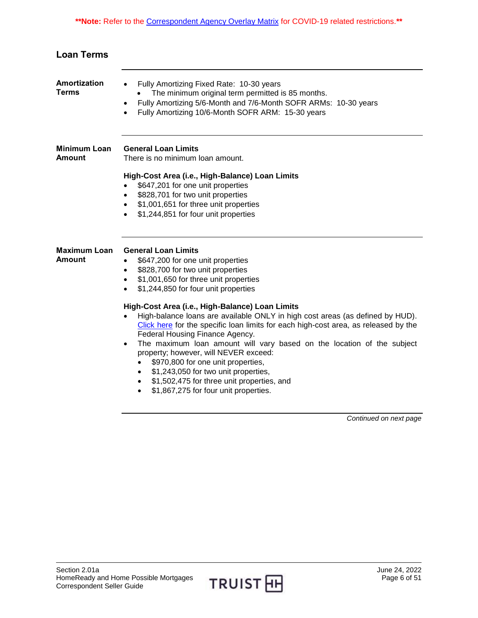<span id="page-5-3"></span><span id="page-5-2"></span><span id="page-5-1"></span><span id="page-5-0"></span>

| <b>Loan Terms</b>             |                                                                                                                                                                                                                                                                                                                                                                                                                                                                                                                                                                                                                                                                                                                                                                                                                                        |
|-------------------------------|----------------------------------------------------------------------------------------------------------------------------------------------------------------------------------------------------------------------------------------------------------------------------------------------------------------------------------------------------------------------------------------------------------------------------------------------------------------------------------------------------------------------------------------------------------------------------------------------------------------------------------------------------------------------------------------------------------------------------------------------------------------------------------------------------------------------------------------|
| Amortization<br><b>Terms</b>  | Fully Amortizing Fixed Rate: 10-30 years<br>$\bullet$<br>The minimum original term permitted is 85 months.<br>Fully Amortizing 5/6-Month and 7/6-Month SOFR ARMs: 10-30 years<br>$\bullet$<br>Fully Amortizing 10/6-Month SOFR ARM: 15-30 years                                                                                                                                                                                                                                                                                                                                                                                                                                                                                                                                                                                        |
| <b>Minimum Loan</b><br>Amount | <b>General Loan Limits</b><br>There is no minimum loan amount.<br>High-Cost Area (i.e., High-Balance) Loan Limits<br>\$647,201 for one unit properties<br>\$828,701 for two unit properties<br>$\bullet$<br>\$1,001,651 for three unit properties<br>$\bullet$<br>\$1,244,851 for four unit properties                                                                                                                                                                                                                                                                                                                                                                                                                                                                                                                                 |
| <b>Maximum Loan</b><br>Amount | <b>General Loan Limits</b><br>\$647,200 for one unit properties<br>$\bullet$<br>\$828,700 for two unit properties<br>$\bullet$<br>\$1,001,650 for three unit properties<br>$\bullet$<br>\$1,244,850 for four unit properties<br>$\bullet$<br>High-Cost Area (i.e., High-Balance) Loan Limits<br>High-balance loans are available ONLY in high cost areas (as defined by HUD).<br>$\bullet$<br>Click here for the specific loan limits for each high-cost area, as released by the<br>Federal Housing Finance Agency.<br>The maximum loan amount will vary based on the location of the subject<br>$\bullet$<br>property; however, will NEVER exceed:<br>\$970,800 for one unit properties,<br>\$1,243,050 for two unit properties,<br>\$1,502,475 for three unit properties, and<br>$\bullet$<br>\$1,867,275 for four unit properties. |

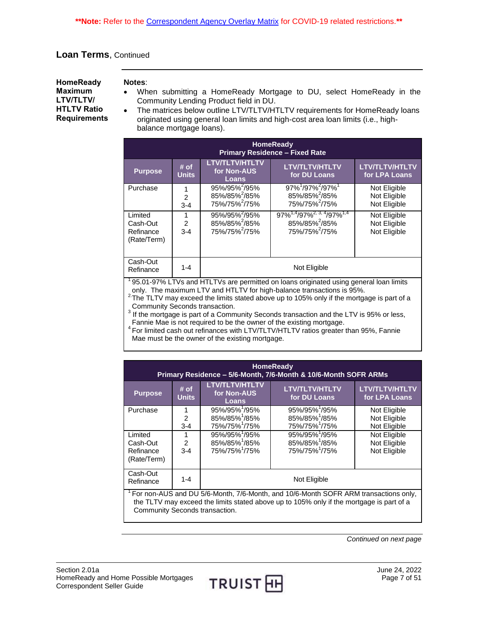<span id="page-6-0"></span>**HomeReady Maximum LTV/TLTV/ HTLTV Ratio Requirements**

#### **Notes**:

- When submitting a HomeReady Mortgage to DU, select HomeReady in the Community Lending Product field in DU.
- The matrices below outline LTV/TLTV/HTLTV requirements for HomeReady loans originated using general loan limits and high-cost area loan limits (i.e., highbalance mortgage loans).

| <b>HomeReady</b><br><b>Primary Residence - Fixed Rate</b> |                          |                                                                                     |                                                                                                                    |                                              |
|-----------------------------------------------------------|--------------------------|-------------------------------------------------------------------------------------|--------------------------------------------------------------------------------------------------------------------|----------------------------------------------|
| <b>Purpose</b>                                            | $#$ of<br><b>Units</b>   | <b>LTV/TLTV/HTLTV</b><br>for Non-AUS<br>Loans                                       | <b>LTV/TLTV/HTLTV</b><br>for DU Loans                                                                              | <b>LTV/TLTV/HTLTV</b><br>for LPA Loans       |
| Purchase                                                  | $\mathcal{P}$<br>$3 - 4$ | 95%/95% <sup>2</sup> /95%<br>85%/85% <sup>2</sup> /85%<br>75%/75% <sup>2</sup> /75% | $97\%$ <sup>1</sup> /97% <sup>2</sup> /97% <sup>1</sup><br>85%/85% <sup>2</sup> /85%<br>75%/75% <sup>2</sup> /75%  | Not Eligible<br>Not Eligible<br>Not Eligible |
| Limited<br>Cash-Out<br>Refinance<br>(Rate/Term)           | $\mathcal{P}$<br>$3 - 4$ | 95%/95% <sup>2</sup> /95%<br>85%/85% <sup>2</sup> /85%<br>75%/75% <sup>2</sup> /75% | $97\%^{1,4}$ /97% <sup>2, 3, 4</sup> /97% <sup>1,4</sup><br>85%/85% <sup>2</sup> /85%<br>75%/75% <sup>2</sup> /75% | Not Eligible<br>Not Eligible<br>Not Eligible |
| Cash-Out<br>Refinance                                     | $1 - 4$                  |                                                                                     | Not Eligible                                                                                                       |                                              |

<sup>1</sup>95.01-97% LTVs and HTLTVs are permitted on loans originated using general loan limits only. The maximum LTV and HTLTV for high-balance transactions is 95%.

 $2\text{-}$ The TLTV may exceed the limits stated above up to 105% only if the mortgage is part of a Community Seconds transaction.

 $3$  If the mortgage is part of a Community Seconds transaction and the LTV is 95% or less, Fannie Mae is not required to be the owner of the existing mortgage.

<sup>4</sup> For limited cash out refinances with LTV/TLTV/HTLTV ratios greater than 95%, Fannie Mae must be the owner of the existing mortgage.

| <b>HomeReady</b><br>Primary Residence - 5/6-Month, 7/6-Month & 10/6-Month SOFR ARMs |                      |                                                      |                                       |                                        |
|-------------------------------------------------------------------------------------|----------------------|------------------------------------------------------|---------------------------------------|----------------------------------------|
| <b>Purpose</b>                                                                      | # of<br><b>Units</b> | <b>LTV/TLTV/HTLTV</b><br>for Non-AUS<br><b>Loans</b> | <b>LTV/TLTV/HTLTV</b><br>for DU Loans | <b>LTV/TLTV/HTLTV</b><br>for LPA Loans |
| Purchase                                                                            | 1                    | 95%/95%1/95%                                         | 95%/95% <sup>1</sup> /95%             | Not Eligible                           |
|                                                                                     | 2                    | 85%/85% <sup>1</sup> /85%                            | 85%/85% <sup>1</sup> /85%             | Not Eligible                           |
|                                                                                     | $3 - 4$              | 75%/75% <sup>1</sup> /75%                            | 75%/75% <sup>1</sup> /75%             | Not Eligible                           |
| Limited                                                                             |                      | 95%/95% <sup>1</sup> /95%                            | 95%/95% <sup>1</sup> /95%             | Not Eligible                           |
| Cash-Out                                                                            | $\mathfrak{p}$       | 85%/85%1/85%                                         | 85%/85%1/85%                          | Not Eligible                           |
| Refinance                                                                           | $3 - 4$              | 75%/75% <sup>1</sup> /75%                            | 75%/75% <sup>1</sup> /75%             | Not Eligible                           |
| (Rate/Term)                                                                         |                      |                                                      |                                       |                                        |
| Cash-Out<br>Not Eligible<br>$1 - 4$<br>Refinance                                    |                      |                                                      |                                       |                                        |
| For non-AUS and DU 5/6-Month, 7/6-Month, and 10/6-Month SOFR ARM transactions only, |                      |                                                      |                                       |                                        |

the TLTV may exceed the limits stated above up to 105% only if the mortgage is part of a Community Seconds transaction.

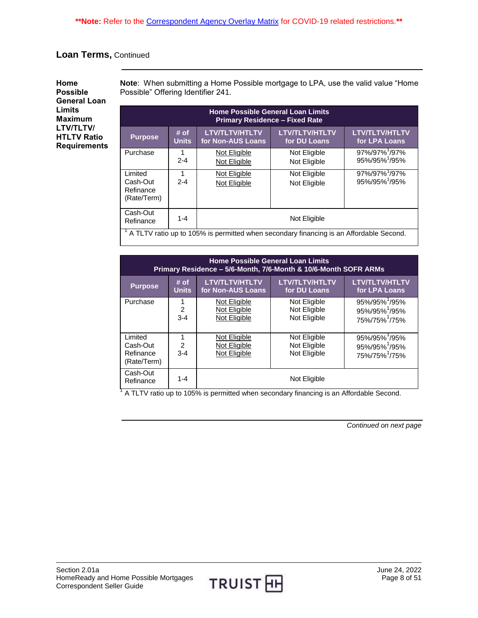<span id="page-7-0"></span>**Home Possible General Loan Limits Maximum LTV/TLTV/ HTLTV Ratio Requirements** **Note**: When submitting a Home Possible mortgage to LPA, use the valid value "Home Possible" Offering Identifier 241.

| <b>Home Possible General Loan Limits</b><br><b>Primary Residence - Fixed Rate</b>      |                      |                                            |                                       |                                           |
|----------------------------------------------------------------------------------------|----------------------|--------------------------------------------|---------------------------------------|-------------------------------------------|
| <b>Purpose</b>                                                                         | # of<br><b>Units</b> | <b>LTV/TLTV/HTLTV</b><br>for Non-AUS Loans | <b>LTV/TLTV/HTLTV</b><br>for DU Loans | <b>LTV/TLTV/HTLTV</b><br>for LPA Loans    |
| Purchase                                                                               | 1<br>$2 - 4$         | Not Eligible<br>Not Eligible               | Not Eligible<br>Not Eligible          | 97%/97% <sup>1</sup> /97%<br>95%/95%1/95% |
| Limited<br>Cash-Out<br>Refinance<br>(Rate/Term)                                        | 1<br>$2 - 4$         | Not Eligible<br>Not Eligible               | Not Eligible<br>Not Eligible          | 97%/97% /97%<br>95%/95%1/95%              |
| Cash-Out<br>Not Eligible<br>$1 - 4$<br>Refinance                                       |                      |                                            |                                       |                                           |
| A TLTV ratio up to 105% is permitted when secondary financing is an Affordable Second. |                      |                                            |                                       |                                           |

| <b>Home Possible General Loan Limits</b><br>Primary Residence – 5/6-Month, 7/6-Month & 10/6-Month SOFR ARMs |                                |                                              |                                              |                                                                                     |
|-------------------------------------------------------------------------------------------------------------|--------------------------------|----------------------------------------------|----------------------------------------------|-------------------------------------------------------------------------------------|
| <b>Purpose</b>                                                                                              | # of<br><b>Units</b>           | <b>LTV/TLTV/HTLTV</b><br>for Non-AUS Loans   | <b>LTV/TLTV/HTLTV</b><br>for DU Loans        | <b>LTV/TLTV/HTLTV</b><br>for LPA Loans                                              |
| Purchase                                                                                                    | 1<br>$\mathfrak{p}$<br>$3 - 4$ | Not Eligible<br>Not Eligible<br>Not Eligible | Not Eligible<br>Not Eligible<br>Not Eligible | 95%/95% <sup>1</sup> /95%<br>95%/95% <sup>1</sup> /95%<br>75%/75% <sup>1</sup> /75% |
| Limited<br>Cash-Out<br>Refinance<br>(Rate/Term)                                                             | 1<br>$\mathcal{P}$<br>$3 - 4$  | Not Eligible<br>Not Eligible<br>Not Eligible | Not Eligible<br>Not Eligible<br>Not Eligible | 95%/95% <sup>1</sup> /95%<br>95%/95% <sup>1</sup> /95%<br>75%/75% <sup>1</sup> /75% |
| Cash-Out<br>Refinance                                                                                       | $1 - 4$                        |                                              | Not Eligible                                 |                                                                                     |

<sup>1</sup> A TLTV ratio up to 105% is permitted when secondary financing is an Affordable Second.

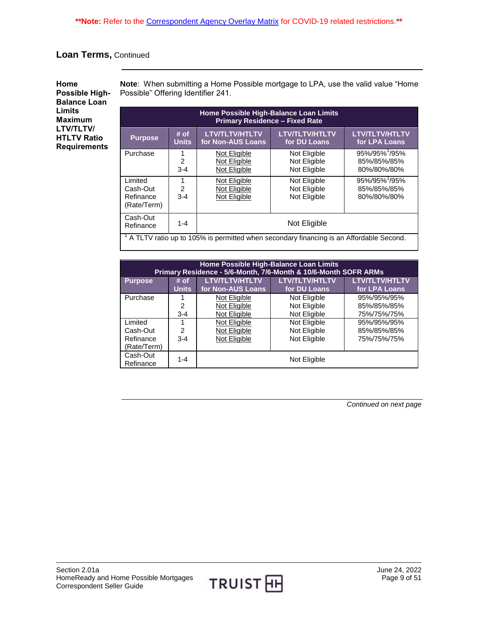<span id="page-8-0"></span>**Home Possible High-Balance Loan Limits Maximum LTV/TLTV/ HTLTV Ratio Requirements**

**Note**: When submitting a Home Possible mortgage to LPA, use the valid value "Home Possible" Offering Identifier 241.

| Home Possible High-Balance Loan Limits<br><b>Primary Residence - Fixed Rate</b>                                                            |                           |                                              |                                              |                                                         |
|--------------------------------------------------------------------------------------------------------------------------------------------|---------------------------|----------------------------------------------|----------------------------------------------|---------------------------------------------------------|
| <b>Purpose</b>                                                                                                                             | # of<br><b>Units</b>      | <b>LTV/TLTV/HTLTV</b><br>for Non-AUS Loans   | <b>LTV/TLTV/HTLTV</b><br>for DU Loans        | LTV/TLTV/HTLTV<br>for LPA Loans                         |
| Purchase                                                                                                                                   | $\mathfrak{p}$<br>$3 - 4$ | Not Eligible<br>Not Eligible<br>Not Eligible | Not Eligible<br>Not Eligible<br>Not Eligible | 95%/95% <sup>1</sup> /95%<br>85%/85%/85%<br>80%/80%/80% |
| Limited<br>Cash-Out<br>Refinance<br>(Rate/Term)                                                                                            | $\mathfrak{p}$<br>$3 - 4$ | Not Eligible<br>Not Eligible<br>Not Eligible | Not Eligible<br>Not Eligible<br>Not Eligible | 95%/95%1/95%<br>85%/85%/85%<br>80%/80%/80%              |
| Cash-Out<br>Not Eligible<br>$1 - 4$<br>Refinance<br>A TLTV ratio up to 105% is permitted when secondary financing is an Affordable Second. |                           |                                              |                                              |                                                         |

| Home Possible High-Balance Loan Limits<br>Primary Residence - 5/6-Month, 7/6-Month & 10/6-Month SOFR ARMs |                |                       |                       |                       |
|-----------------------------------------------------------------------------------------------------------|----------------|-----------------------|-----------------------|-----------------------|
| <b>Purpose</b>                                                                                            | # of           | <b>LTV/TLTV/HTLTV</b> | <b>LTV/TLTV/HTLTV</b> | <b>LTV/TLTV/HTLTV</b> |
|                                                                                                           | <b>Units</b>   | for Non-AUS Loans     | for DU Loans          | for LPA Loans         |
| Purchase                                                                                                  |                | Not Eligible          | Not Eligible          | 95%/95%/95%           |
|                                                                                                           | $\mathfrak{p}$ | Not Eligible          | Not Eligible          | 85%/85%/85%           |
|                                                                                                           | $3 - 4$        | Not Eligible          | Not Eligible          | 75%/75%/75%           |
| Limited                                                                                                   |                | Not Eligible          | Not Eligible          | 95%/95%/95%           |
| Cash-Out                                                                                                  | 2              | Not Eligible          | Not Eligible          | 85%/85%/85%           |
| Refinance                                                                                                 | $3 - 4$        | Not Eligible          | Not Eligible          | 75%/75%/75%           |
| (Rate/Term)                                                                                               |                |                       |                       |                       |
| Cash-Out<br>Refinance                                                                                     | $1 - 4$        |                       | Not Eligible          |                       |

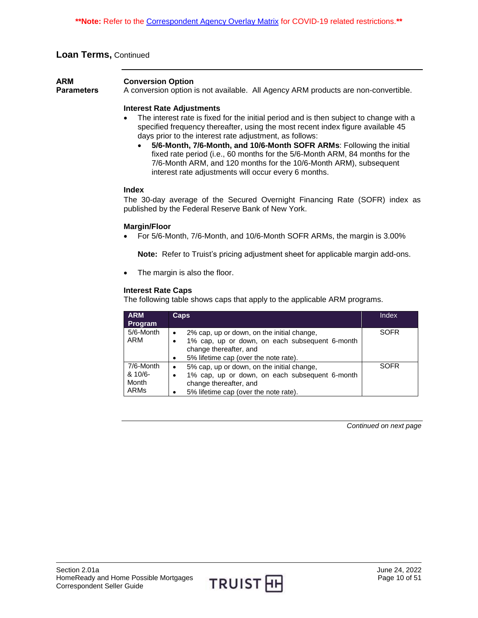<span id="page-9-0"></span>

| <b>ARM</b>        | <b>Conversion Option</b> |                                                                                    |
|-------------------|--------------------------|------------------------------------------------------------------------------------|
| <b>Parameters</b> |                          | A conversion option is not available. All Agency ARM products are non-convertible. |

#### **Interest Rate Adjustments**

- The interest rate is fixed for the initial period and is then subject to change with a specified frequency thereafter, using the most recent index figure available 45 days prior to the interest rate adjustment, as follows:
	- **5/6-Month, 7/6-Month, and 10/6-Month SOFR ARMs**: Following the initial fixed rate period (i.e., 60 months for the 5/6-Month ARM, 84 months for the 7/6-Month ARM, and 120 months for the 10/6-Month ARM), subsequent interest rate adjustments will occur every 6 months.

#### **Index**

 The 30-day average of the Secured Overnight Financing Rate (SOFR) index as published by the Federal Reserve Bank of New York.

#### **Margin/Floor**

For 5/6-Month, 7/6-Month, and 10/6-Month SOFR ARMs, the margin is 3.00%

**Note:** Refer to Truist's pricing adjustment sheet for applicable margin add-ons.

• The margin is also the floor.

#### **Interest Rate Caps**

The following table shows caps that apply to the applicable ARM programs.

| <b>ARM</b><br><b>Program</b>                    | <b>Caps</b>                                                                                                                                                                  | Index       |
|-------------------------------------------------|------------------------------------------------------------------------------------------------------------------------------------------------------------------------------|-------------|
| 5/6-Month<br>ARM                                | 2% cap, up or down, on the initial change,<br>1% cap, up or down, on each subsequent 6-month<br>change thereafter, and<br>5% lifetime cap (over the note rate).              | <b>SOFR</b> |
| 7/6-Month<br>$8.10/6 -$<br>Month<br><b>ARMs</b> | 5% cap, up or down, on the initial change,<br>$\bullet$<br>1% cap, up or down, on each subsequent 6-month<br>change thereafter, and<br>5% lifetime cap (over the note rate). | <b>SOFR</b> |

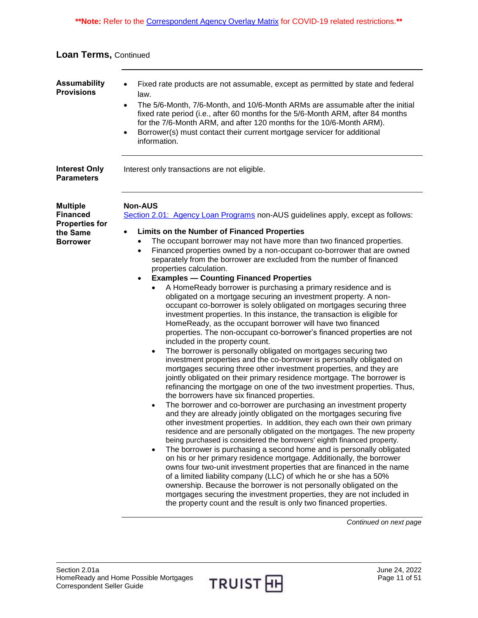**\*\*Note:** Refer to the [Correspondent Agency Overlay Matrix](https://www.truistsellerguide.com/manual/cor/products/CAgencyCreditOverlays.pdf) for COVID-19 related restrictions.**\*\***

| <b>Loan Terms, Continued</b> |  |
|------------------------------|--|
|------------------------------|--|

<span id="page-10-2"></span><span id="page-10-1"></span><span id="page-10-0"></span>

| <b>Assumability</b><br><b>Provisions</b>                                                   | Fixed rate products are not assumable, except as permitted by state and federal<br>$\bullet$<br>law.<br>The 5/6-Month, 7/6-Month, and 10/6-Month ARMs are assumable after the initial<br>$\bullet$<br>fixed rate period (i.e., after 60 months for the 5/6-Month ARM, after 84 months<br>for the 7/6-Month ARM, and after 120 months for the 10/6-Month ARM).<br>Borrower(s) must contact their current mortgage servicer for additional<br>$\bullet$<br>information.                                                                                                                                                                                                                                                                                                                                                                                                                                                                                                                                                                                                                                                                                                                                                                                                                                                                                                                                                                                                                                                                                                                                                                                                                                                                                                                                                                                                                                                                                                                                                                                                                                                                                                                                                                                                                                                    |
|--------------------------------------------------------------------------------------------|--------------------------------------------------------------------------------------------------------------------------------------------------------------------------------------------------------------------------------------------------------------------------------------------------------------------------------------------------------------------------------------------------------------------------------------------------------------------------------------------------------------------------------------------------------------------------------------------------------------------------------------------------------------------------------------------------------------------------------------------------------------------------------------------------------------------------------------------------------------------------------------------------------------------------------------------------------------------------------------------------------------------------------------------------------------------------------------------------------------------------------------------------------------------------------------------------------------------------------------------------------------------------------------------------------------------------------------------------------------------------------------------------------------------------------------------------------------------------------------------------------------------------------------------------------------------------------------------------------------------------------------------------------------------------------------------------------------------------------------------------------------------------------------------------------------------------------------------------------------------------------------------------------------------------------------------------------------------------------------------------------------------------------------------------------------------------------------------------------------------------------------------------------------------------------------------------------------------------------------------------------------------------------------------------------------------------|
| <b>Interest Only</b><br><b>Parameters</b>                                                  | Interest only transactions are not eligible.                                                                                                                                                                                                                                                                                                                                                                                                                                                                                                                                                                                                                                                                                                                                                                                                                                                                                                                                                                                                                                                                                                                                                                                                                                                                                                                                                                                                                                                                                                                                                                                                                                                                                                                                                                                                                                                                                                                                                                                                                                                                                                                                                                                                                                                                             |
| <b>Multiple</b><br><b>Financed</b><br><b>Properties for</b><br>the Same<br><b>Borrower</b> | <b>Non-AUS</b><br>Section 2.01: Agency Loan Programs non-AUS guidelines apply, except as follows:<br><b>Limits on the Number of Financed Properties</b><br>$\bullet$<br>The occupant borrower may not have more than two financed properties.<br>Financed properties owned by a non-occupant co-borrower that are owned<br>$\bullet$<br>separately from the borrower are excluded from the number of financed<br>properties calculation.<br><b>Examples - Counting Financed Properties</b><br>$\bullet$<br>A HomeReady borrower is purchasing a primary residence and is<br>obligated on a mortgage securing an investment property. A non-<br>occupant co-borrower is solely obligated on mortgages securing three<br>investment properties. In this instance, the transaction is eligible for<br>HomeReady, as the occupant borrower will have two financed<br>properties. The non-occupant co-borrower's financed properties are not<br>included in the property count.<br>The borrower is personally obligated on mortgages securing two<br>٠<br>investment properties and the co-borrower is personally obligated on<br>mortgages securing three other investment properties, and they are<br>jointly obligated on their primary residence mortgage. The borrower is<br>refinancing the mortgage on one of the two investment properties. Thus,<br>the borrowers have six financed properties.<br>The borrower and co-borrower are purchasing an investment property<br>$\bullet$<br>and they are already jointly obligated on the mortgages securing five<br>other investment properties. In addition, they each own their own primary<br>residence and are personally obligated on the mortgages. The new property<br>being purchased is considered the borrowers' eighth financed property.<br>The borrower is purchasing a second home and is personally obligated<br>on his or her primary residence mortgage. Additionally, the borrower<br>owns four two-unit investment properties that are financed in the name<br>of a limited liability company (LLC) of which he or she has a 50%<br>ownership. Because the borrower is not personally obligated on the<br>mortgages securing the investment properties, they are not included in<br>the property count and the result is only two financed properties. |

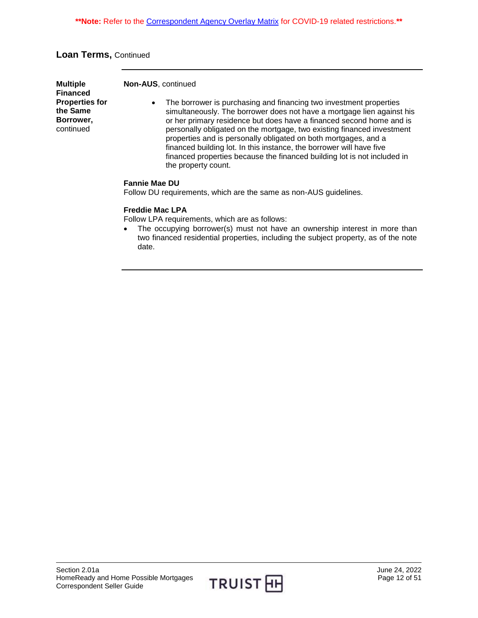| <b>Multiple</b><br><b>Financed</b>                          | <b>Non-AUS, continued</b>                                                                                                                                                                                                                                                                                                                                                                                                                                                                                                                         |
|-------------------------------------------------------------|---------------------------------------------------------------------------------------------------------------------------------------------------------------------------------------------------------------------------------------------------------------------------------------------------------------------------------------------------------------------------------------------------------------------------------------------------------------------------------------------------------------------------------------------------|
| <b>Properties for</b><br>the Same<br>Borrower,<br>continued | The borrower is purchasing and financing two investment properties<br>٠<br>simultaneously. The borrower does not have a mortgage lien against his<br>or her primary residence but does have a financed second home and is<br>personally obligated on the mortgage, two existing financed investment<br>properties and is personally obligated on both mortgages, and a<br>financed building lot. In this instance, the borrower will have five<br>financed properties because the financed building lot is not included in<br>the property count. |
|                                                             | <b>Fannie Mae DU</b>                                                                                                                                                                                                                                                                                                                                                                                                                                                                                                                              |

**Fannie Mae DU**

Follow DU requirements, which are the same as non-AUS guidelines.

#### **Freddie Mac LPA**

Follow LPA requirements, which are as follows:

• The occupying borrower(s) must not have an ownership interest in more than two financed residential properties, including the subject property, as of the note date.

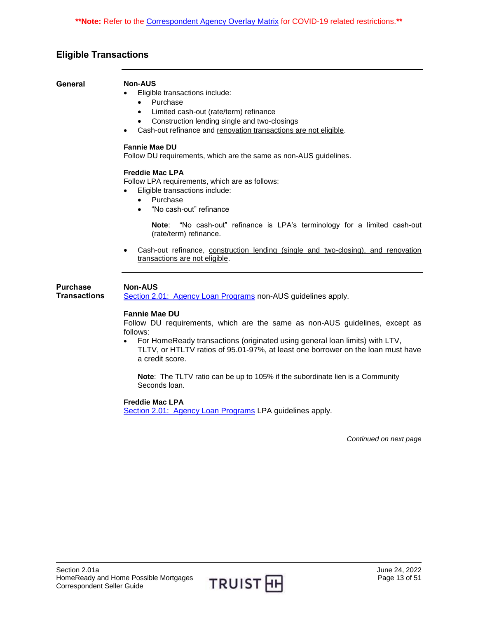# <span id="page-12-0"></span>**Eligible Transactions**

<span id="page-12-1"></span>**General Non-AUS**

<span id="page-12-2"></span>**Purchase**

- Eligible transactions include:
	- Purchase
	- Limited cash-out (rate/term) refinance
	- Construction lending single and two-closings
	- Cash-out refinance and renovation transactions are not eligible.

#### **Fannie Mae DU**

Follow DU requirements, which are the same as non-AUS guidelines.

#### **Freddie Mac LPA**

Follow LPA requirements, which are as follows:

- Eligible transactions include:
	- Purchase
	- "No cash-out" refinance

**Note**: "No cash-out" refinance is LPA's terminology for a limited cash-out (rate/term) refinance.

• Cash-out refinance, construction lending (single and two-closing), and renovation transactions are not eligible.

#### **Non-AUS**

**Transactions** [Section 2.01: Agency Loan Programs](https://truistsellerguide.com/manual/cor/products/CAgency.pdf) non-AUS guidelines apply.

#### **Fannie Mae DU**

Follow DU requirements, which are the same as non-AUS guidelines, except as follows:

 For HomeReady transactions (originated using general loan limits) with LTV, TLTV, or HTLTV ratios of 95.01-97%, at least one borrower on the loan must have a credit score.

**Note**: The TLTV ratio can be up to 105% if the subordinate lien is a Community Seconds loan.

#### **Freddie Mac LPA**

[Section 2.01: Agency Loan Programs](https://truistsellerguide.com/manual/cor/products/CAgency.pdf) LPA guidelines apply.

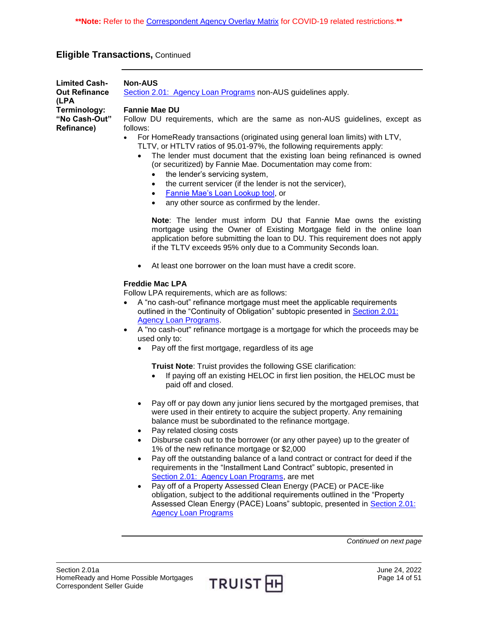<span id="page-13-0"></span>

| <b>Limited Cash-</b><br><b>Out Refinance</b><br>(LPA | <b>Non-AUS</b><br>Section 2.01: Agency Loan Programs non-AUS guidelines apply.                                                                                                                                                                                                                                                                                                                                                                                                                                                            |
|------------------------------------------------------|-------------------------------------------------------------------------------------------------------------------------------------------------------------------------------------------------------------------------------------------------------------------------------------------------------------------------------------------------------------------------------------------------------------------------------------------------------------------------------------------------------------------------------------------|
| Terminology:<br>"No Cash-Out"<br><b>Refinance)</b>   | <b>Fannie Mae DU</b><br>Follow DU requirements, which are the same as non-AUS guidelines, except as<br>follows:                                                                                                                                                                                                                                                                                                                                                                                                                           |
|                                                      | For HomeReady transactions (originated using general loan limits) with LTV,<br>$\bullet$<br>TLTV, or HTLTV ratios of 95.01-97%, the following requirements apply:<br>The lender must document that the existing loan being refinanced is owned<br>(or securitized) by Fannie Mae. Documentation may come from:<br>the lender's servicing system,<br>the current servicer (if the lender is not the servicer),<br>$\bullet$<br>Fannie Mae's Loan Lookup tool, or<br>$\bullet$<br>any other source as confirmed by the lender.<br>$\bullet$ |
|                                                      | Note: The lender must inform DU that Fannie Mae owns the existing<br>mortgage using the Owner of Existing Mortgage field in the online loan<br>application before submitting the loan to DU. This requirement does not apply<br>if the TLTV exceeds 95% only due to a Community Seconds loan.                                                                                                                                                                                                                                             |
|                                                      | At least one borrower on the loan must have a credit score.<br>$\bullet$                                                                                                                                                                                                                                                                                                                                                                                                                                                                  |
|                                                      | <b>Freddie Mac LPA</b><br>Follow LPA requirements, which are as follows:<br>A "no cash-out" refinance mortgage must meet the applicable requirements<br>outlined in the "Continuity of Obligation" subtopic presented in Section 2.01:<br><b>Agency Loan Programs</b><br>A "no cash-out" refinance mortgage is a mortgage for which the proceeds may be<br>used only to:                                                                                                                                                                  |
|                                                      | Pay off the first mortgage, regardless of its age                                                                                                                                                                                                                                                                                                                                                                                                                                                                                         |
|                                                      | <b>Truist Note: Truist provides the following GSE clarification:</b><br>If paying off an existing HELOC in first lien position, the HELOC must be<br>paid off and closed.                                                                                                                                                                                                                                                                                                                                                                 |
|                                                      | Pay off or pay down any junior liens secured by the mortgaged premises, that<br>were used in their entirety to acquire the subject property. Any remaining<br>balance must be subordinated to the refinance mortgage.<br>Pay related closing costs                                                                                                                                                                                                                                                                                        |
|                                                      | Disburse cash out to the borrower (or any other payee) up to the greater of<br>1% of the new refinance mortgage or \$2,000<br>Pay off the outstanding balance of a land contract or contract for deed if the<br>requirements in the "Installment Land Contract" subtopic, presented in<br>Section 2.01: Agency Loan Programs, are met                                                                                                                                                                                                     |
|                                                      | Pay off of a Property Assessed Clean Energy (PACE) or PACE-like<br>obligation, subject to the additional requirements outlined in the "Property"                                                                                                                                                                                                                                                                                                                                                                                          |

obligation, subject to the additional requirements outlined in the "Property Assessed Clean Energy (PACE) Loans" subtopic, presented in **Section 2.01:** [Agency Loan Programs](https://truistsellerguide.com/manual/cor/products/CAgency.pdf)

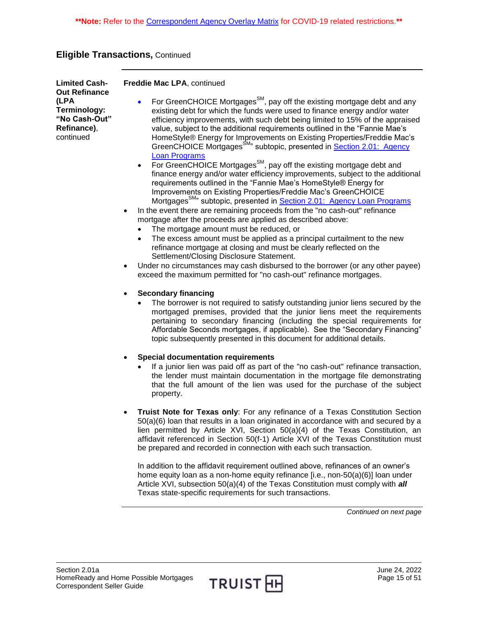| <b>Limited Cash-</b>                                                                      | Freddie Mac LPA, continued                                                                                                                                                                                                                                                                                                                                                                                                                                                                                                            |
|-------------------------------------------------------------------------------------------|---------------------------------------------------------------------------------------------------------------------------------------------------------------------------------------------------------------------------------------------------------------------------------------------------------------------------------------------------------------------------------------------------------------------------------------------------------------------------------------------------------------------------------------|
| <b>Out Refinance</b><br>(LPA<br>Terminology:<br>"No Cash-Out"<br>Refinance),<br>continued | For GreenCHOICE Mortgages <sup>SM</sup> , pay off the existing mortgage debt and any<br>existing debt for which the funds were used to finance energy and/or water<br>efficiency improvements, with such debt being limited to 15% of the appraised<br>value, subject to the additional requirements outlined in the "Fannie Mae's<br>HomeStyle® Energy for Improvements on Existing Properties/Freddie Mac's<br>GreenCHOICE Mortgages <sup>SM</sup> <sup>3</sup> subtopic, presented in Section 2.01: Agency<br><b>Loan Programs</b> |
|                                                                                           | For GreenCHOICE Mortgages <sup>SM</sup> , pay off the existing mortgage debt and<br>$\bullet$<br>finance energy and/or water efficiency improvements, subject to the additional<br>requirements outlined in the "Fannie Mae's HomeStyle® Energy for<br>Improvements on Existing Properties/Freddie Mac's GreenCHOICE<br>Mortgages <sup>SM</sup> <sup>2</sup> subtopic, presented in <b>Section 2.01: Agency Loan Programs</b>                                                                                                         |
|                                                                                           | In the event there are remaining proceeds from the "no cash-out" refinance<br>$\bullet$<br>mortgage after the proceeds are applied as described above:                                                                                                                                                                                                                                                                                                                                                                                |
|                                                                                           | The mortgage amount must be reduced, or<br>The excess amount must be applied as a principal curtailment to the new<br>refinance mortgage at closing and must be clearly reflected on the<br>Settlement/Closing Disclosure Statement.                                                                                                                                                                                                                                                                                                  |
|                                                                                           | Under no circumstances may cash disbursed to the borrower (or any other payee)<br>$\bullet$<br>exceed the maximum permitted for "no cash-out" refinance mortgages.                                                                                                                                                                                                                                                                                                                                                                    |
|                                                                                           | <b>Secondary financing</b><br>$\bullet$<br>The borrower is not required to satisfy outstanding junior liens secured by the<br>mortgaged premises, provided that the junior liens meet the requirements<br>pertaining to secondary financing (including the special requirements for<br>Affordable Seconds mortgages, if applicable). See the "Secondary Financing"<br>topic subsequently presented in this document for additional details.                                                                                           |
|                                                                                           | <b>Special documentation requirements</b><br>$\bullet$<br>If a junior lien was paid off as part of the "no cash-out" refinance transaction,<br>the lender must maintain documentation in the mortgage file demonstrating<br>that the full amount of the lien was used for the purchase of the subject<br>property.                                                                                                                                                                                                                    |
|                                                                                           | Truist Note for Texas only: For any refinance of a Texas Constitution Section<br>$\bullet$<br>50(a)(6) loan that results in a loan originated in accordance with and secured by a<br>lien permitted by Article XVI, Section 50(a)(4) of the Texas Constitution, an<br>affidavit referenced in Section 50(f-1) Article XVI of the Texas Constitution must<br>be prepared and recorded in connection with each such transaction.                                                                                                        |
|                                                                                           | In addition to the affidavit requirement outlined above, refinances of an owner's<br>home equity loan as a non-home equity refinance [i.e., non-50(a)(6)] loan under<br>Article XVI, subsection 50(a)(4) of the Texas Constitution must comply with all<br>Texas state-specific requirements for such transactions.                                                                                                                                                                                                                   |

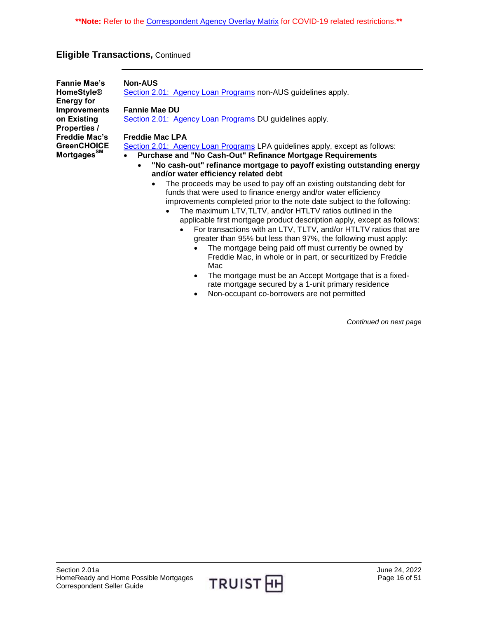<span id="page-15-0"></span>

| <b>Fannie Mae's</b><br><b>HomeStyle®</b><br><b>Energy for</b><br><b>Improvements</b> | <b>Non-AUS</b><br>Section 2.01: Agency Loan Programs non-AUS guidelines apply.<br><b>Fannie Mae DU</b>                                                                                                                                                                                                                                                                                                                                                                                                                                                                                                                                                                                                                                                                                                                                                             |
|--------------------------------------------------------------------------------------|--------------------------------------------------------------------------------------------------------------------------------------------------------------------------------------------------------------------------------------------------------------------------------------------------------------------------------------------------------------------------------------------------------------------------------------------------------------------------------------------------------------------------------------------------------------------------------------------------------------------------------------------------------------------------------------------------------------------------------------------------------------------------------------------------------------------------------------------------------------------|
| on Existing<br><b>Properties /</b>                                                   | Section 2.01: Agency Loan Programs DU guidelines apply.                                                                                                                                                                                                                                                                                                                                                                                                                                                                                                                                                                                                                                                                                                                                                                                                            |
| <b>Freddie Mac's</b>                                                                 | <b>Freddie Mac LPA</b>                                                                                                                                                                                                                                                                                                                                                                                                                                                                                                                                                                                                                                                                                                                                                                                                                                             |
| <b>GreenCHOICE</b>                                                                   | Section 2.01: Agency Loan Programs LPA guidelines apply, except as follows:                                                                                                                                                                                                                                                                                                                                                                                                                                                                                                                                                                                                                                                                                                                                                                                        |
| Mortgages <sup>SM</sup>                                                              | Purchase and "No Cash-Out" Refinance Mortgage Requirements                                                                                                                                                                                                                                                                                                                                                                                                                                                                                                                                                                                                                                                                                                                                                                                                         |
|                                                                                      | "No cash-out" refinance mortgage to payoff existing outstanding energy<br>and/or water efficiency related debt                                                                                                                                                                                                                                                                                                                                                                                                                                                                                                                                                                                                                                                                                                                                                     |
|                                                                                      | The proceeds may be used to pay off an existing outstanding debt for<br>$\bullet$<br>funds that were used to finance energy and/or water efficiency<br>improvements completed prior to the note date subject to the following:<br>The maximum LTV, TLTV, and/or HTLTV ratios outlined in the<br>applicable first mortgage product description apply, except as follows:<br>For transactions with an LTV, TLTV, and/or HTLTV ratios that are<br>$\bullet$<br>greater than 95% but less than 97%, the following must apply:<br>The mortgage being paid off must currently be owned by<br>$\bullet$<br>Freddie Mac, in whole or in part, or securitized by Freddie<br>Mac<br>The mortgage must be an Accept Mortgage that is a fixed-<br>$\bullet$<br>rate mortgage secured by a 1-unit primary residence<br>Non-occupant co-borrowers are not permitted<br>$\bullet$ |

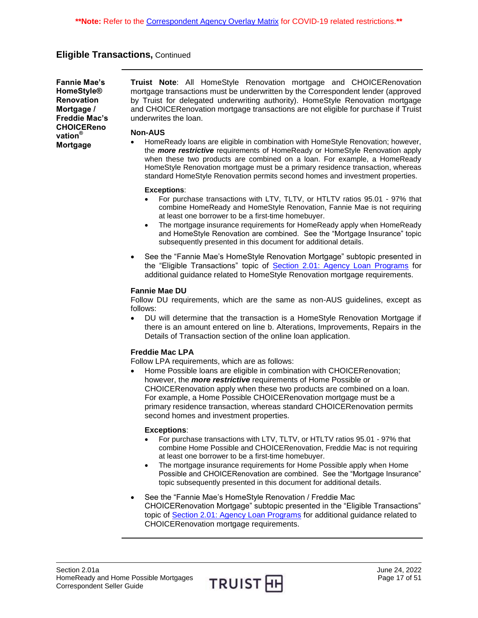<span id="page-16-0"></span>**Fannie Mae's HomeStyle® Renovation Mortgage / Freddie Mac's CHOICEReno vation® Mortgage**

**Truist Note**: All HomeStyle Renovation mortgage and CHOICERenovation mortgage transactions must be underwritten by the Correspondent lender (approved by Truist for delegated underwriting authority). HomeStyle Renovation mortgage and CHOICERenovation mortgage transactions are not eligible for purchase if Truist underwrites the loan.

#### **Non-AUS**

 HomeReady loans are eligible in combination with HomeStyle Renovation; however, the *more restrictive* requirements of HomeReady or HomeStyle Renovation apply when these two products are combined on a loan. For example, a HomeReady HomeStyle Renovation mortgage must be a primary residence transaction, whereas standard HomeStyle Renovation permits second homes and investment properties.

#### **Exceptions**:

- For purchase transactions with LTV, TLTV, or HTLTV ratios 95.01 97% that combine HomeReady and HomeStyle Renovation, Fannie Mae is not requiring at least one borrower to be a first-time homebuyer.
- The mortgage insurance requirements for HomeReady apply when HomeReady and HomeStyle Renovation are combined. See the "Mortgage Insurance" topic subsequently presented in this document for additional details.
- See the "Fannie Mae's HomeStyle Renovation Mortgage" subtopic presented in the "Eligible Transactions" topic of [Section 2.01: Agency Loan Programs](https://truistsellerguide.com/manual/cor/products/CAgency.pdf) for additional guidance related to HomeStyle Renovation mortgage requirements.

#### **Fannie Mae DU**

Follow DU requirements, which are the same as non-AUS guidelines, except as follows:

 DU will determine that the transaction is a HomeStyle Renovation Mortgage if there is an amount entered on line b. Alterations, Improvements, Repairs in the Details of Transaction section of the online loan application.

#### **Freddie Mac LPA**

Follow LPA requirements, which are as follows:

 Home Possible loans are eligible in combination with CHOICERenovation; however, the *more restrictive* requirements of Home Possible or CHOICERenovation apply when these two products are combined on a loan. For example, a Home Possible CHOICERenovation mortgage must be a primary residence transaction, whereas standard CHOICERenovation permits second homes and investment properties.

#### **Exceptions**:

- For purchase transactions with LTV, TLTV, or HTLTV ratios 95.01 97% that combine Home Possible and CHOICERenovation, Freddie Mac is not requiring at least one borrower to be a first-time homebuyer.
- The mortgage insurance requirements for Home Possible apply when Home Possible and CHOICERenovation are combined. See the "Mortgage Insurance" topic subsequently presented in this document for additional details.
- See the "Fannie Mae's HomeStyle Renovation / Freddie Mac CHOICERenovation Mortgage" subtopic presented in the "Eligible Transactions" topic of [Section 2.01: Agency Loan Programs](https://truistsellerguide.com/manual/cor/products/CAgency.pdf) for additional guidance related to CHOICERenovation mortgage requirements.

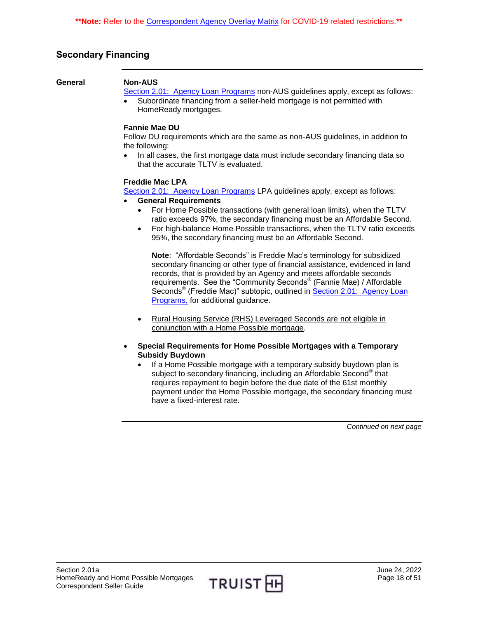# <span id="page-17-0"></span>**Secondary Financing**

#### <span id="page-17-1"></span>**General Non-AUS**

[Section 2.01: Agency Loan Programs](https://truistsellerguide.com/manual/cor/products/CAgency.pdf) non-AUS guidelines apply, except as follows:

 Subordinate financing from a seller-held mortgage is not permitted with HomeReady mortgages.

#### **Fannie Mae DU**

Follow DU requirements which are the same as non-AUS guidelines, in addition to the following:

 In all cases, the first mortgage data must include secondary financing data so that the accurate TLTV is evaluated.

#### **Freddie Mac LPA**

[Section 2.01: Agency Loan Programs](https://truistsellerguide.com/manual/cor/products/CAgency.pdf) LPA guidelines apply, except as follows:

#### **General Requirements**

- For Home Possible transactions (with general loan limits), when the TLTV ratio exceeds 97%, the secondary financing must be an Affordable Second.
- For high-balance Home Possible transactions, when the TLTV ratio exceeds 95%, the secondary financing must be an Affordable Second.

**Note**: "Affordable Seconds" is Freddie Mac's terminology for subsidized secondary financing or other type of financial assistance, evidenced in land records, that is provided by an Agency and meets affordable seconds requirements. See the "Community Seconds<sup>®</sup> (Fannie Mae) / Affordable Seconds<sup>®</sup> (Freddie Mac)" subtopic, outlined in Section 2.01: Agency Loan [Programs,](https://truistsellerguide.com/manual/cor/products/CAgency.pdf) for additional guidance.

- Rural Housing Service (RHS) Leveraged Seconds are not eligible in conjunction with a Home Possible mortgage.
- **Special Requirements for Home Possible Mortgages with a Temporary Subsidy Buydown** 
	- If a Home Possible mortgage with a temporary subsidy buydown plan is subject to secondary financing, including an Affordable Second® that requires repayment to begin before the due date of the 61st monthly payment under the Home Possible mortgage, the secondary financing must have a fixed-interest rate.

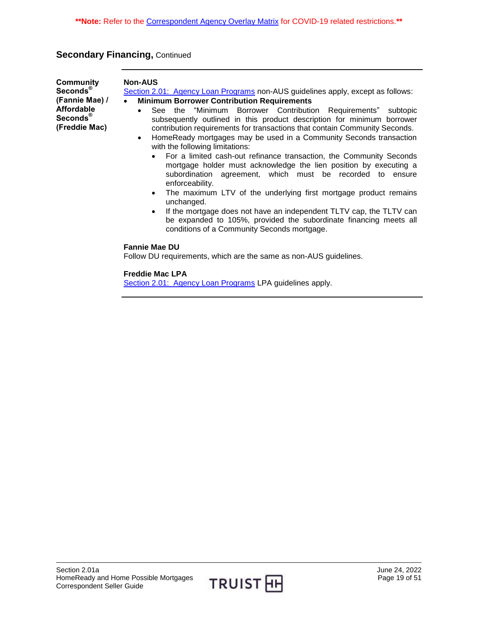# **Secondary Financing, Continued**

<span id="page-18-0"></span>

| Community<br>Seconds <sup>®</sup><br>(Fannie Mae) /<br><b>Affordable</b><br>Seconds <sup>®</sup><br>(Freddie Mac) | <b>Non-AUS</b><br>Section 2.01: Agency Loan Programs non-AUS guidelines apply, except as follows:<br><b>Minimum Borrower Contribution Requirements</b><br>$\bullet$<br>See the "Minimum Borrower Contribution Requirements" subtopic<br>$\bullet$<br>subsequently outlined in this product description for minimum borrower<br>contribution requirements for transactions that contain Community Seconds.<br>HomeReady mortgages may be used in a Community Seconds transaction<br>$\bullet$<br>with the following limitations:<br>For a limited cash-out refinance transaction, the Community Seconds<br>$\bullet$<br>mortgage holder must acknowledge the lien position by executing a<br>subordination agreement, which must be recorded to ensure<br>enforceability.<br>The maximum LTV of the underlying first mortgage product remains<br>$\bullet$<br>unchanged.<br>If the mortgage does not have an independent TLTV cap, the TLTV can<br>$\bullet$<br>be expanded to 105%, provided the subordinate financing meets all<br>conditions of a Community Seconds mortgage. |
|-------------------------------------------------------------------------------------------------------------------|---------------------------------------------------------------------------------------------------------------------------------------------------------------------------------------------------------------------------------------------------------------------------------------------------------------------------------------------------------------------------------------------------------------------------------------------------------------------------------------------------------------------------------------------------------------------------------------------------------------------------------------------------------------------------------------------------------------------------------------------------------------------------------------------------------------------------------------------------------------------------------------------------------------------------------------------------------------------------------------------------------------------------------------------------------------------------------|
|                                                                                                                   | <b>Fannie Mae DU</b><br>Follow DU requirements, which are the same as non-AUS guidelines.                                                                                                                                                                                                                                                                                                                                                                                                                                                                                                                                                                                                                                                                                                                                                                                                                                                                                                                                                                                       |
|                                                                                                                   | <b>Freddie Mac LPA</b><br>Section 2.01: Agency Loan Programs LPA guidelines apply.                                                                                                                                                                                                                                                                                                                                                                                                                                                                                                                                                                                                                                                                                                                                                                                                                                                                                                                                                                                              |

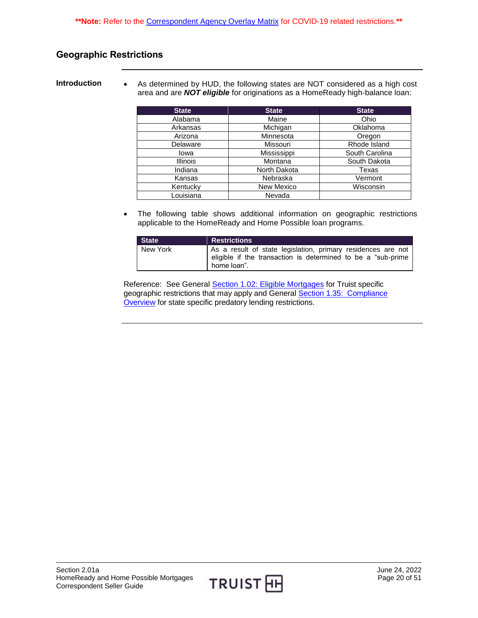# <span id="page-19-0"></span>**Geographic Restrictions**

<span id="page-19-1"></span>**Introduction** • As determined by HUD, the following states are NOT considered as a high cost area and are *NOT eligible* for originations as a HomeReady high-balance loan:

| <b>State</b>    | <b>State</b> | <b>State</b>   |
|-----------------|--------------|----------------|
| Alabama         | Maine        | Ohio           |
| Arkansas        | Michigan     | Oklahoma       |
| Arizona         | Minnesota    | Oregon         |
| Delaware        | Missouri     | Rhode Island   |
| lowa            | Mississippi  | South Carolina |
| <b>Illinois</b> | Montana      | South Dakota   |
| Indiana         | North Dakota | Texas          |
| Kansas          | Nebraska     | Vermont        |
| Kentucky        | New Mexico   | Wisconsin      |
| Louisiana       | Nevada       |                |

 The following table shows additional information on geographic restrictions applicable to the HomeReady and Home Possible loan programs.

| State <sup></sup> | <b>Restrictions</b>                                                                                                                          |
|-------------------|----------------------------------------------------------------------------------------------------------------------------------------------|
| New York          | As a result of state legislation, primary residences are not<br>eligible if the transaction is determined to be a "sub-prime"<br>home loan". |

Reference: See General Section 1.02: [Eligible Mortgages](https://truistsellerguide.com/manual/cor/general/1.02EligMtg.pdf) for Truist specific geographic restrictions that may apply and General [Section 1.35: Compliance](https://truistsellerguide.com/manual/cor/general/1.35Compliance.pdf)  [Overview](https://truistsellerguide.com/manual/cor/general/1.35Compliance.pdf) for state specific predatory lending restrictions.

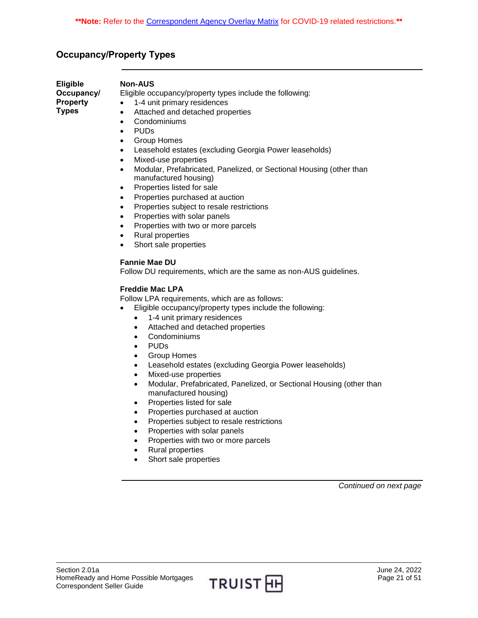# <span id="page-20-0"></span>**Occupancy/Property Types**

<span id="page-20-1"></span>

| <b>Eligible</b> | Nc  |
|-----------------|-----|
| Occupancy/      | Eli |
| <b>Property</b> |     |
| <b>Types</b>    |     |

#### **Non-AUS**

gible occupancy/property types include the following:

- 1-4 unit primary residences
- Attached and detached properties
- Condominiums
- PUDs
- Group Homes
- Leasehold estates (excluding Georgia Power leaseholds)
- Mixed-use properties
- Modular, Prefabricated, Panelized, or Sectional Housing (other than manufactured housing)
- Properties listed for sale
- Properties purchased at auction
- Properties subject to resale restrictions
- Properties with solar panels
- Properties with two or more parcels
- Rural properties
- Short sale properties

### **Fannie Mae DU**

Follow DU requirements, which are the same as non-AUS guidelines.

### **Freddie Mac LPA**

Follow LPA requirements, which are as follows:

- Eligible occupancy/property types include the following:
	- 1-4 unit primary residences
	- Attached and detached properties
	- Condominiums
	- PUDs
	- Group Homes
	- Leasehold estates (excluding Georgia Power leaseholds)
	- Mixed-use properties
	- Modular, Prefabricated, Panelized, or Sectional Housing (other than manufactured housing)
	- Properties listed for sale
	- Properties purchased at auction
	- Properties subject to resale restrictions
	- Properties with solar panels
	- Properties with two or more parcels
	- Rural properties
	- Short sale properties

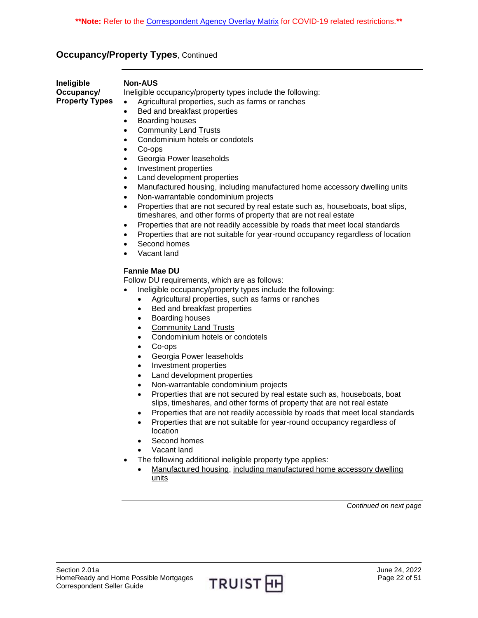# **Occupancy/Property Types, Continued**

<span id="page-21-0"></span>

| Ineligible<br>Occupancy/<br><b>Property Types</b> | <b>Non-AUS</b><br>Ineligible occupancy/property types include the following:<br>Agricultural properties, such as farms or ranches<br>$\bullet$<br>Bed and breakfast properties<br>$\bullet$<br>Boarding houses<br>$\bullet$<br><b>Community Land Trusts</b><br>$\bullet$<br>Condominium hotels or condotels<br>$\bullet$<br>Co-ops<br>$\bullet$<br>Georgia Power leaseholds<br>$\bullet$<br>Investment properties<br>$\bullet$<br>Land development properties<br>$\bullet$<br>Manufactured housing, including manufactured home accessory dwelling units<br>$\bullet$<br>Non-warrantable condominium projects<br>$\bullet$<br>Properties that are not secured by real estate such as, houseboats, boat slips,<br>$\bullet$<br>timeshares, and other forms of property that are not real estate<br>Properties that are not readily accessible by roads that meet local standards<br>$\bullet$<br>Properties that are not suitable for year-round occupancy regardless of location<br>$\bullet$<br>Second homes<br>$\bullet$<br>Vacant land<br>$\bullet$         |
|---------------------------------------------------|----------------------------------------------------------------------------------------------------------------------------------------------------------------------------------------------------------------------------------------------------------------------------------------------------------------------------------------------------------------------------------------------------------------------------------------------------------------------------------------------------------------------------------------------------------------------------------------------------------------------------------------------------------------------------------------------------------------------------------------------------------------------------------------------------------------------------------------------------------------------------------------------------------------------------------------------------------------------------------------------------------------------------------------------------------------|
|                                                   | <b>Fannie Mae DU</b><br>Follow DU requirements, which are as follows:<br>Ineligible occupancy/property types include the following:<br>$\bullet$<br>Agricultural properties, such as farms or ranches<br>$\bullet$<br>Bed and breakfast properties<br>Boarding houses<br>٠<br><b>Community Land Trusts</b><br>$\bullet$<br>Condominium hotels or condotels<br>$\bullet$<br>Co-ops<br>Georgia Power leaseholds<br>Investment properties<br>Land development properties<br>Non-warrantable condominium projects<br>٠<br>Properties that are not secured by real estate such as, houseboats, boat<br>$\bullet$<br>slips, timeshares, and other forms of property that are not real estate<br>Properties that are not readily accessible by roads that meet local standards<br>٠<br>Properties that are not suitable for year-round occupancy regardless of<br>$\bullet$<br>location<br>Second homes<br>Vacant land<br>The following additional ineligible property type applies:<br>Manufactured housing, including manufactured home accessory dwelling<br>units |
|                                                   | Continued on next page                                                                                                                                                                                                                                                                                                                                                                                                                                                                                                                                                                                                                                                                                                                                                                                                                                                                                                                                                                                                                                         |
|                                                   |                                                                                                                                                                                                                                                                                                                                                                                                                                                                                                                                                                                                                                                                                                                                                                                                                                                                                                                                                                                                                                                                |

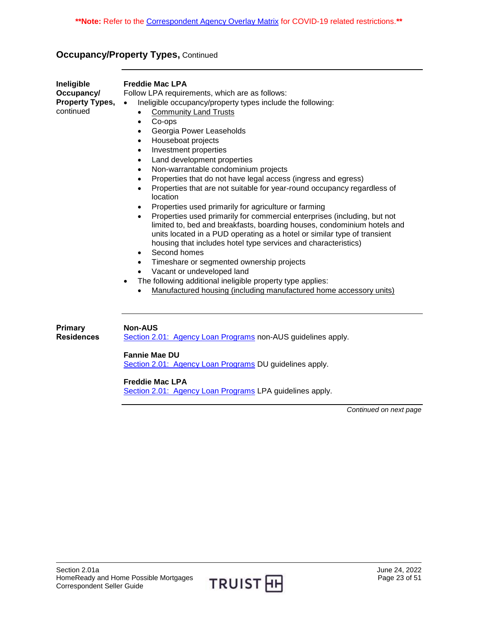# **Occupancy/Property Types, Continued**

| Ineligible<br>Occupancy/<br><b>Property Types,</b><br>continued | <b>Freddie Mac LPA</b><br>Follow LPA requirements, which are as follows:<br>Ineligible occupancy/property types include the following:<br>$\bullet$<br><b>Community Land Trusts</b><br>Co-ops<br>$\bullet$<br>Georgia Power Leaseholds<br>$\bullet$<br>Houseboat projects<br>$\bullet$<br>Investment properties<br>$\bullet$<br>Land development properties<br>$\bullet$<br>Non-warrantable condominium projects<br>$\bullet$<br>Properties that do not have legal access (ingress and egress)<br>$\bullet$<br>Properties that are not suitable for year-round occupancy regardless of<br>$\bullet$<br>location<br>Properties used primarily for agriculture or farming<br>٠<br>Properties used primarily for commercial enterprises (including, but not<br>$\bullet$<br>limited to, bed and breakfasts, boarding houses, condominium hotels and<br>units located in a PUD operating as a hotel or similar type of transient<br>housing that includes hotel type services and characteristics)<br>Second homes<br>$\bullet$<br>Timeshare or segmented ownership projects<br>$\bullet$<br>Vacant or undeveloped land<br>The following additional ineligible property type applies:<br>$\bullet$<br>Manufactured housing (including manufactured home accessory units) |
|-----------------------------------------------------------------|----------------------------------------------------------------------------------------------------------------------------------------------------------------------------------------------------------------------------------------------------------------------------------------------------------------------------------------------------------------------------------------------------------------------------------------------------------------------------------------------------------------------------------------------------------------------------------------------------------------------------------------------------------------------------------------------------------------------------------------------------------------------------------------------------------------------------------------------------------------------------------------------------------------------------------------------------------------------------------------------------------------------------------------------------------------------------------------------------------------------------------------------------------------------------------------------------------------------------------------------------------------------|
| Primary                                                         | <b>Non-AUS</b>                                                                                                                                                                                                                                                                                                                                                                                                                                                                                                                                                                                                                                                                                                                                                                                                                                                                                                                                                                                                                                                                                                                                                                                                                                                       |

[Section 2.01: Agency Loan Programs](https://truistsellerguide.com/manual/cor/products/CAgency.pdf) non-AUS guidelines apply.

**Fannie Mae DU**

<span id="page-22-0"></span>**Residences**

[Section 2.01: Agency Loan Programs](https://truistsellerguide.com/manual/cor/products/CAgency.pdf) DU guidelines apply.

**Freddie Mac LPA**

[Section 2.01: Agency Loan Programs](https://truistsellerguide.com/manual/cor/products/CAgency.pdf) LPA guidelines apply.

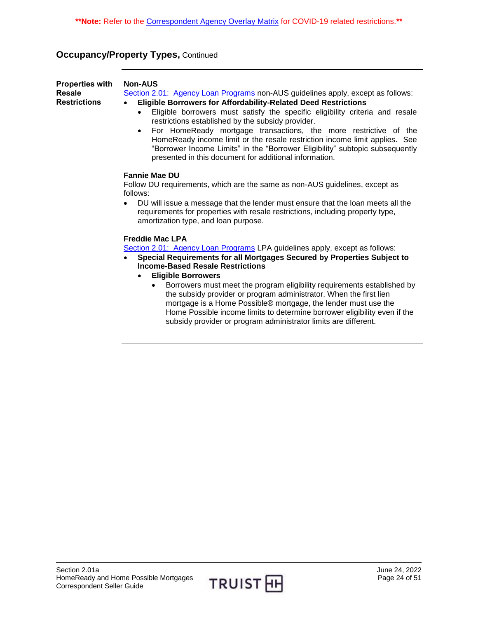# **Occupancy/Property Types, Continued**

<span id="page-23-0"></span>

| <b>Properties with</b><br><b>Resale</b><br><b>Restrictions</b> | <b>Non-AUS</b><br>Section 2.01: Agency Loan Programs non-AUS guidelines apply, except as follows:<br>Eligible Borrowers for Affordability-Related Deed Restrictions<br>Eligible borrowers must satisfy the specific eligibility criteria and resale<br>restrictions established by the subsidy provider.<br>For HomeReady mortgage transactions, the more restrictive of the<br>HomeReady income limit or the resale restriction income limit applies. See<br>"Borrower Income Limits" in the "Borrower Eligibility" subtopic subsequently<br>presented in this document for additional information.                        |  |  |
|----------------------------------------------------------------|-----------------------------------------------------------------------------------------------------------------------------------------------------------------------------------------------------------------------------------------------------------------------------------------------------------------------------------------------------------------------------------------------------------------------------------------------------------------------------------------------------------------------------------------------------------------------------------------------------------------------------|--|--|
|                                                                | <b>Fannie Mae DU</b><br>Follow DU requirements, which are the same as non-AUS guidelines, except as<br>follows:<br>DU will issue a message that the lender must ensure that the loan meets all the<br>requirements for properties with resale restrictions, including property type,<br>amortization type, and loan purpose.                                                                                                                                                                                                                                                                                                |  |  |
|                                                                | <b>Freddie Mac LPA</b><br>Section 2.01: Agency Loan Programs LPA guidelines apply, except as follows:<br>Special Requirements for all Mortgages Secured by Properties Subject to<br><b>Income-Based Resale Restrictions</b><br><b>Eligible Borrowers</b><br>Borrowers must meet the program eligibility requirements established by<br>the subsidy provider or program administrator. When the first lien<br>mortgage is a Home Possible® mortgage, the lender must use the<br>Home Possible income limits to determine borrower eligibility even if the<br>subsidy provider or program administrator limits are different. |  |  |

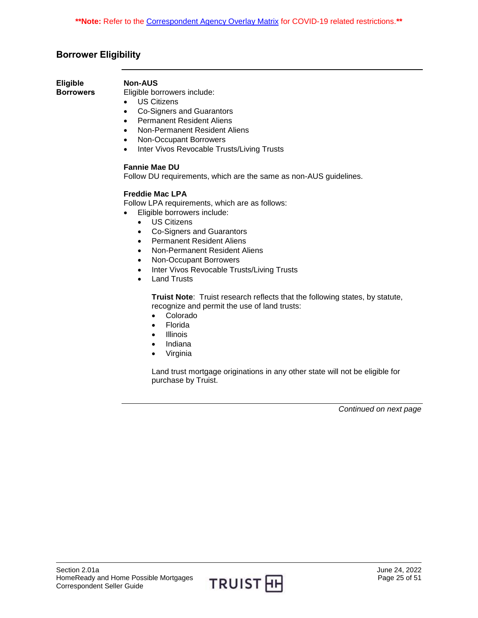# <span id="page-24-0"></span>**Borrower Eligibility**

<span id="page-24-1"></span>**Eligible Borrowers**

#### **Non-AUS**

Eligible borrowers include:

- US Citizens
- Co-Signers and Guarantors
- Permanent Resident Aliens
- Non-Permanent Resident Aliens
- Non-Occupant Borrowers
- Inter Vivos Revocable Trusts/Living Trusts

#### **Fannie Mae DU**

Follow DU requirements, which are the same as non-AUS guidelines.

#### **Freddie Mac LPA**

Follow LPA requirements, which are as follows:

- Eligible borrowers include:
	- US Citizens
	- Co-Signers and Guarantors
	- Permanent Resident Aliens
	- Non-Permanent Resident Aliens
	- Non-Occupant Borrowers
	- Inter Vivos Revocable Trusts/Living Trusts
	- Land Trusts

**Truist Note**: Truist research reflects that the following states, by statute, recognize and permit the use of land trusts:

- Colorado
- Florida
- Illinois
- Indiana
- Virginia

Land trust mortgage originations in any other state will not be eligible for purchase by Truist.

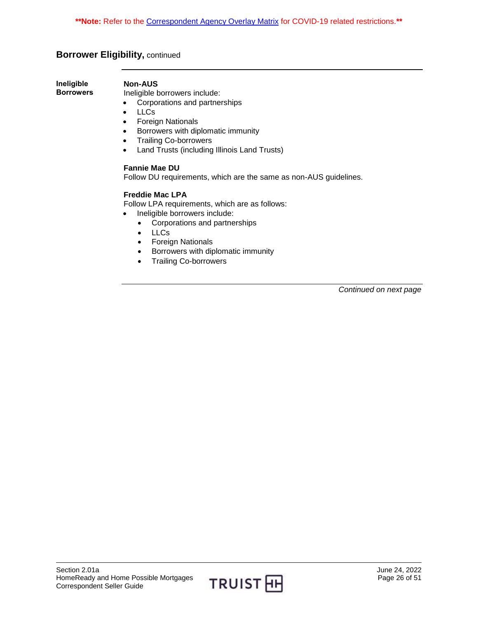# **Borrower Eligibility,** continued

<span id="page-25-0"></span>**Ineligible Borrowers**

#### **Non-AUS**

Ineligible borrowers include:

- Corporations and partnerships
- LLCs
- Foreign Nationals
- **•** Borrowers with diplomatic immunity
- Trailing Co-borrowers
- Land Trusts (including Illinois Land Trusts)

#### **Fannie Mae DU**

Follow DU requirements, which are the same as non-AUS guidelines.

#### **Freddie Mac LPA**

Follow LPA requirements, which are as follows:

- Ineligible borrowers include:
	- Corporations and partnerships
	- LLCs
	- Foreign Nationals
	- Borrowers with diplomatic immunity
	- Trailing Co-borrowers

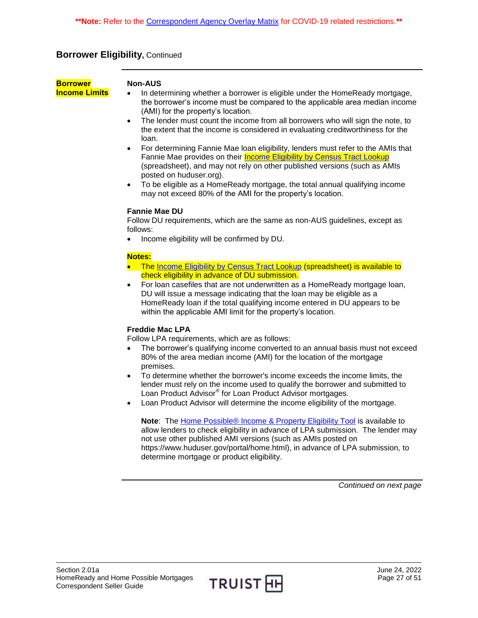# **Borrower Eligibility,** Continued

<span id="page-26-0"></span>**Borrower Income Limits**

#### **Non-AUS**

- In determining whether a borrower is eligible under the HomeReady mortgage, the borrower's income must be compared to the applicable area median income (AMI) for the property's location.
- The lender must count the income from all borrowers who will sign the note, to the extent that the income is considered in evaluating creditworthiness for the loan.
- For determining Fannie Mae loan eligibility, lenders must refer to the AMIs that Fannie Mae provides on their **Income Eligibility by Census Tract Lookup** (spreadsheet), and may not rely on other published versions (such as AMIs posted on huduser.org).
- To be eligible as a HomeReady mortgage, the total annual qualifying income may not exceed 80% of the AMI for the property's location.

#### **Fannie Mae DU**

Follow DU requirements, which are the same as non-AUS guidelines, except as follows:

• Income eligibility will be confirmed by DU.

#### **Notes:**

- The [Income Eligibility by Census Tract Lookup](https://singlefamily.fanniemae.com/media/document/xlsx/income-eligibility-census-tract-lookup-spreadsheet) (spreadsheet) is available to check eligibility in advance of DU submission.
- For loan casefiles that are not underwritten as a HomeReady mortgage loan, DU will issue a message indicating that the loan may be eligible as a HomeReady loan if the total qualifying income entered in DU appears to be within the applicable AMI limit for the property's location.

#### **Freddie Mac LPA**

Follow LPA requirements, which are as follows:

- The borrower's qualifying income converted to an annual basis must not exceed 80% of the area median income (AMI) for the location of the mortgage premises.
- To determine whether the borrower's income exceeds the income limits, the lender must rely on the income used to qualify the borrower and submitted to Loan Product Advisor® for Loan Product Advisor mortgages.
- Loan Product Advisor will determine the income eligibility of the mortgage.

**Note:** The **Home Possible® Income & Property Eligibility Tool** is available to allow lenders to check eligibility in advance of LPA submission. The lender may not use other published AMI versions (such as AMIs posted on https://www.huduser.gov/portal/home.html), in advance of LPA submission, to determine mortgage or product eligibility.

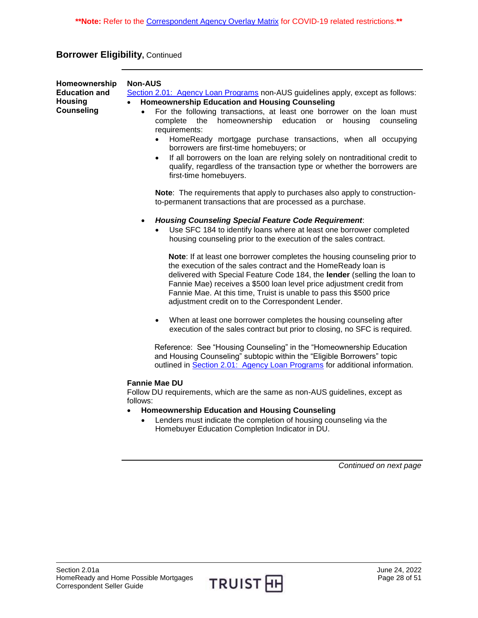# **Borrower Eligibility,** Continued

<span id="page-27-0"></span>

| Homeownership<br><b>Education and</b><br><b>Housing</b><br><b>Counseling</b> | <b>Non-AUS</b><br>Section 2.01: Agency Loan Programs non-AUS guidelines apply, except as follows:<br><b>Homeownership Education and Housing Counseling</b><br>$\bullet$<br>For the following transactions, at least one borrower on the loan must<br>$\bullet$<br>homeownership education or<br>housing<br>complete<br>the<br>counseling<br>requirements:<br>HomeReady mortgage purchase transactions, when all occupying<br>borrowers are first-time homebuyers; or<br>If all borrowers on the loan are relying solely on nontraditional credit to<br>qualify, regardless of the transaction type or whether the borrowers are<br>first-time homebuyers.                                                                                                                                          |  |  |
|------------------------------------------------------------------------------|----------------------------------------------------------------------------------------------------------------------------------------------------------------------------------------------------------------------------------------------------------------------------------------------------------------------------------------------------------------------------------------------------------------------------------------------------------------------------------------------------------------------------------------------------------------------------------------------------------------------------------------------------------------------------------------------------------------------------------------------------------------------------------------------------|--|--|
|                                                                              | Note: The requirements that apply to purchases also apply to construction-<br>to-permanent transactions that are processed as a purchase.                                                                                                                                                                                                                                                                                                                                                                                                                                                                                                                                                                                                                                                          |  |  |
|                                                                              | <b>Housing Counseling Special Feature Code Requirement:</b><br>$\bullet$<br>Use SFC 184 to identify loans where at least one borrower completed<br>housing counseling prior to the execution of the sales contract.<br>Note: If at least one borrower completes the housing counseling prior to<br>the execution of the sales contract and the HomeReady loan is<br>delivered with Special Feature Code 184, the lender (selling the loan to<br>Fannie Mae) receives a \$500 loan level price adjustment credit from<br>Fannie Mae. At this time, Truist is unable to pass this \$500 price<br>adjustment credit on to the Correspondent Lender.<br>When at least one borrower completes the housing counseling after<br>execution of the sales contract but prior to closing, no SFC is required. |  |  |
|                                                                              | Reference: See "Housing Counseling" in the "Homeownership Education<br>and Housing Counseling" subtopic within the "Eligible Borrowers" topic<br>outlined in Section 2.01: Agency Loan Programs for additional information.                                                                                                                                                                                                                                                                                                                                                                                                                                                                                                                                                                        |  |  |
|                                                                              | <b>Fannie Mae DU</b><br>Follow DU requirements, which are the same as non-AUS guidelines, except as<br>follows:<br><b>Homeownership Education and Housing Counseling</b><br>Lenders must indicate the completion of housing counseling via the<br>$\bullet$<br>Homebuyer Education Completion Indicator in DU.                                                                                                                                                                                                                                                                                                                                                                                                                                                                                     |  |  |

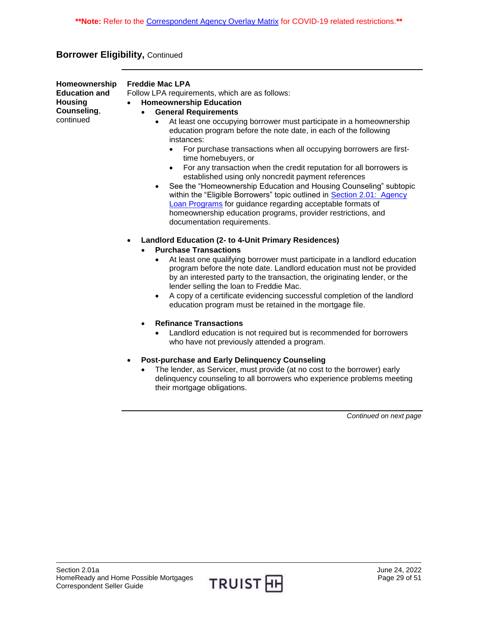# **Borrower Eligibility,** Continued

| Homeownership        | Fro |
|----------------------|-----|
| <b>Education and</b> | Fo  |
| <b>Housing</b>       |     |
| Counseling,          |     |
| continued            |     |

#### **Freddie Mac LPA**

Ilow LPA requirements, which are as follows:

- **Homeownership Education**
- **General Requirements**
	- At least one occupying borrower must participate in a homeownership education program before the note date, in each of the following instances:
		- For purchase transactions when all occupying borrowers are firsttime homebuyers, or
		- For any transaction when the credit reputation for all borrowers is established using only noncredit payment references
	- See the "Homeownership Education and Housing Counseling" subtopic within the "Eligible Borrowers" topic outlined in Section 2.01: Agency [Loan Programs](https://truistsellerguide.com/manual/cor/products/CAgency.pdf) for guidance regarding acceptable formats of homeownership education programs, provider restrictions, and documentation requirements.
- **Landlord Education (2- to 4-Unit Primary Residences)**
	- **Purchase Transactions**
		- At least one qualifying borrower must participate in a landlord education program before the note date. Landlord education must not be provided by an interested party to the transaction, the originating lender, or the lender selling the loan to Freddie Mac.
		- A copy of a certificate evidencing successful completion of the landlord education program must be retained in the mortgage file.
	- **Refinance Transactions**
		- Landlord education is not required but is recommended for borrowers who have not previously attended a program.
- **Post-purchase and Early Delinquency Counseling**
	- The lender, as Servicer, must provide (at no cost to the borrower) early delinquency counseling to all borrowers who experience problems meeting their mortgage obligations.

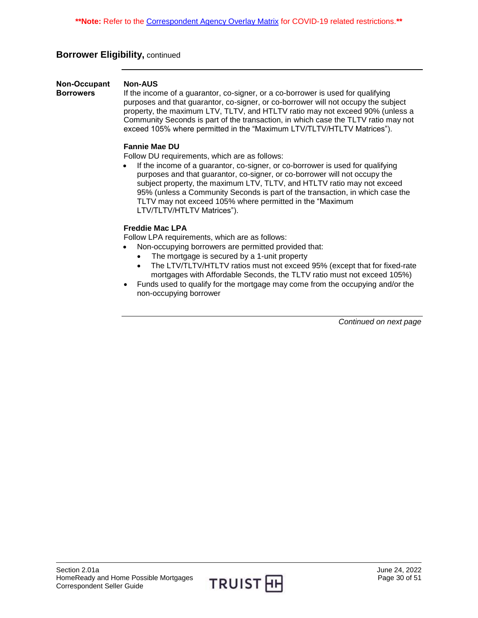# **Borrower Eligibility,** continued

<span id="page-29-0"></span>**Non-Occupant Borrowers Non-AUS** If the income of a guarantor, co-signer, or a co-borrower is used for qualifying purposes and that guarantor, co-signer, or co-borrower will not occupy the subject property, the maximum LTV, TLTV, and HTLTV ratio may not exceed 90% (unless a Community Seconds is part of the transaction, in which case the TLTV ratio may not exceed 105% where permitted in the "Maximum LTV/TLTV/HTLTV Matrices").

#### **Fannie Mae DU**

Follow DU requirements, which are as follows:

 If the income of a guarantor, co-signer, or co-borrower is used for qualifying purposes and that guarantor, co-signer, or co-borrower will not occupy the subject property, the maximum LTV, TLTV, and HTLTV ratio may not exceed 95% (unless a Community Seconds is part of the transaction, in which case the TLTV may not exceed 105% where permitted in the "Maximum LTV/TLTV/HTLTV Matrices").

#### **Freddie Mac LPA**

Follow LPA requirements, which are as follows:

- Non-occupying borrowers are permitted provided that:
	- The mortgage is secured by a 1-unit property
	- The LTV/TLTV/HTLTV ratios must not exceed 95% (except that for fixed-rate mortgages with Affordable Seconds, the TLTV ratio must not exceed 105%)
- Funds used to qualify for the mortgage may come from the occupying and/or the non-occupying borrower

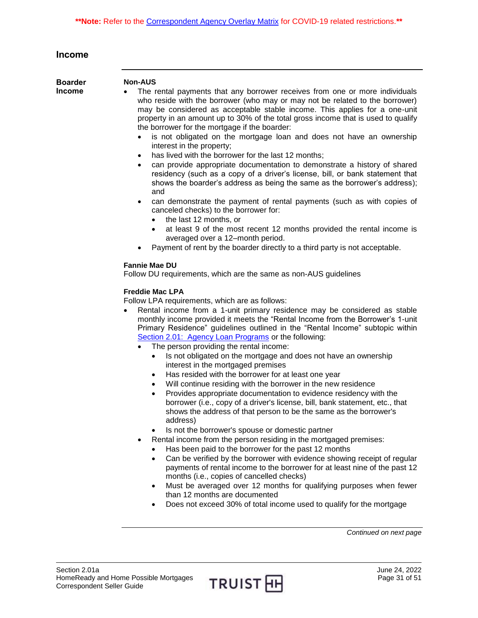<span id="page-30-1"></span><span id="page-30-0"></span>

| <b>Income</b>                   |                                                                                                                                                                                                                                                                                                                                                                                                                                                                                                                                                                                                                                                                                                                                                                                                                                                                                                                                                                                                                                                                                                                                                                                                                                                                                                                                                                                                                                                                                                                                                                                                                                                                                                                                                                                                                                                                                                                                                                                                                                                                                                                                                                                                                                                                                                                                                                                                                                                                                                                                                                                                                                                                                                                                                                                                                     |
|---------------------------------|---------------------------------------------------------------------------------------------------------------------------------------------------------------------------------------------------------------------------------------------------------------------------------------------------------------------------------------------------------------------------------------------------------------------------------------------------------------------------------------------------------------------------------------------------------------------------------------------------------------------------------------------------------------------------------------------------------------------------------------------------------------------------------------------------------------------------------------------------------------------------------------------------------------------------------------------------------------------------------------------------------------------------------------------------------------------------------------------------------------------------------------------------------------------------------------------------------------------------------------------------------------------------------------------------------------------------------------------------------------------------------------------------------------------------------------------------------------------------------------------------------------------------------------------------------------------------------------------------------------------------------------------------------------------------------------------------------------------------------------------------------------------------------------------------------------------------------------------------------------------------------------------------------------------------------------------------------------------------------------------------------------------------------------------------------------------------------------------------------------------------------------------------------------------------------------------------------------------------------------------------------------------------------------------------------------------------------------------------------------------------------------------------------------------------------------------------------------------------------------------------------------------------------------------------------------------------------------------------------------------------------------------------------------------------------------------------------------------------------------------------------------------------------------------------------------------|
| <b>Boarder</b><br><b>Income</b> | <b>Non-AUS</b><br>The rental payments that any borrower receives from one or more individuals<br>who reside with the borrower (who may or may not be related to the borrower)<br>may be considered as acceptable stable income. This applies for a one-unit<br>property in an amount up to 30% of the total gross income that is used to qualify<br>the borrower for the mortgage if the boarder:<br>is not obligated on the mortgage loan and does not have an ownership<br>interest in the property;<br>has lived with the borrower for the last 12 months;<br>can provide appropriate documentation to demonstrate a history of shared<br>residency (such as a copy of a driver's license, bill, or bank statement that<br>shows the boarder's address as being the same as the borrower's address);<br>and<br>can demonstrate the payment of rental payments (such as with copies of<br>canceled checks) to the borrower for:<br>the last 12 months, or<br>$\bullet$<br>at least 9 of the most recent 12 months provided the rental income is<br>$\bullet$<br>averaged over a 12-month period.<br>Payment of rent by the boarder directly to a third party is not acceptable.<br><b>Fannie Mae DU</b><br>Follow DU requirements, which are the same as non-AUS guidelines<br><b>Freddie Mac LPA</b><br>Follow LPA requirements, which are as follows:<br>Rental income from a 1-unit primary residence may be considered as stable<br>monthly income provided it meets the "Rental Income from the Borrower's 1-unit<br>Primary Residence" guidelines outlined in the "Rental Income" subtopic within<br>Section 2.01: Agency Loan Programs or the following:<br>The person providing the rental income:<br>Is not obligated on the mortgage and does not have an ownership<br>interest in the mortgaged premises<br>Has resided with the borrower for at least one year<br>$\bullet$<br>Will continue residing with the borrower in the new residence<br>Provides appropriate documentation to evidence residency with the<br>borrower (i.e., copy of a driver's license, bill, bank statement, etc., that<br>shows the address of that person to be the same as the borrower's<br>address)<br>Is not the borrower's spouse or domestic partner<br>$\bullet$<br>Rental income from the person residing in the mortgaged premises:<br>Has been paid to the borrower for the past 12 months<br>Can be verified by the borrower with evidence showing receipt of regular<br>$\bullet$<br>payments of rental income to the borrower for at least nine of the past 12<br>months (i.e., copies of cancelled checks)<br>Must be averaged over 12 months for qualifying purposes when fewer<br>$\bullet$<br>than 12 months are documented<br>Does not exceed 30% of total income used to qualify for the mortgage<br>٠ |
|                                 | Continued on next page                                                                                                                                                                                                                                                                                                                                                                                                                                                                                                                                                                                                                                                                                                                                                                                                                                                                                                                                                                                                                                                                                                                                                                                                                                                                                                                                                                                                                                                                                                                                                                                                                                                                                                                                                                                                                                                                                                                                                                                                                                                                                                                                                                                                                                                                                                                                                                                                                                                                                                                                                                                                                                                                                                                                                                                              |

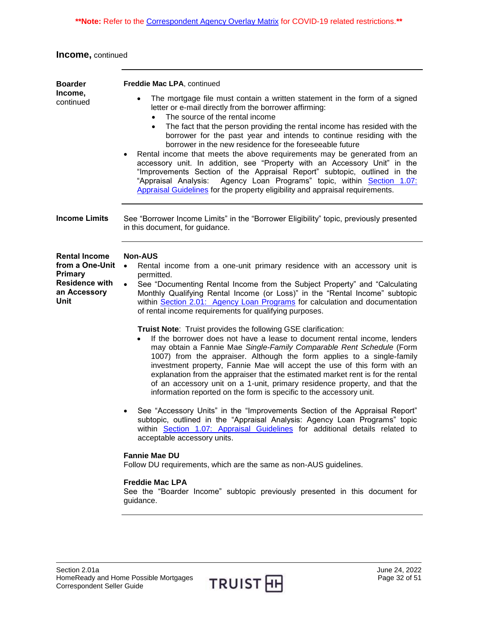**Income,** continued

<span id="page-31-1"></span><span id="page-31-0"></span>

| <b>Boarder</b>                                                                                                    | Freddie Mac LPA, continued                                                                                                                                                                                                                                                                                                                                                                                                                                                                                                                                                                                                                                                                                                                                                                                                         |  |
|-------------------------------------------------------------------------------------------------------------------|------------------------------------------------------------------------------------------------------------------------------------------------------------------------------------------------------------------------------------------------------------------------------------------------------------------------------------------------------------------------------------------------------------------------------------------------------------------------------------------------------------------------------------------------------------------------------------------------------------------------------------------------------------------------------------------------------------------------------------------------------------------------------------------------------------------------------------|--|
| Income,<br>continued                                                                                              | The mortgage file must contain a written statement in the form of a signed<br>$\bullet$<br>letter or e-mail directly from the borrower affirming:<br>The source of the rental income<br>$\bullet$<br>The fact that the person providing the rental income has resided with the<br>$\bullet$<br>borrower for the past year and intends to continue residing with the<br>borrower in the new residence for the foreseeable future<br>Rental income that meets the above requirements may be generated from an<br>accessory unit. In addition, see "Property with an Accessory Unit" in the<br>"Improvements Section of the Appraisal Report" subtopic, outlined in the<br>Agency Loan Programs" topic, within Section 1.07:<br>"Appraisal Analysis:<br>Appraisal Guidelines for the property eligibility and appraisal requirements. |  |
| <b>Income Limits</b>                                                                                              | See "Borrower Income Limits" in the "Borrower Eligibility" topic, previously presented<br>in this document, for guidance.                                                                                                                                                                                                                                                                                                                                                                                                                                                                                                                                                                                                                                                                                                          |  |
| <b>Rental Income</b><br>from a One-Unit<br><b>Primary</b><br><b>Residence with</b><br>an Accessory<br><b>Unit</b> | <b>Non-AUS</b><br>Rental income from a one-unit primary residence with an accessory unit is<br>$\bullet$<br>permitted.<br>See "Documenting Rental Income from the Subject Property" and "Calculating<br>$\bullet$<br>Monthly Qualifying Rental Income (or Loss)" in the "Rental Income" subtopic<br>within Section 2.01: Agency Loan Programs for calculation and documentation<br>of rental income requirements for qualifying purposes.                                                                                                                                                                                                                                                                                                                                                                                          |  |
|                                                                                                                   | Truist Note: Truist provides the following GSE clarification:<br>If the borrower does not have a lease to document rental income, lenders<br>may obtain a Fannie Mae Single-Family Comparable Rent Schedule (Form<br>1007) from the appraiser. Although the form applies to a single-family<br>investment property, Fannie Mae will accept the use of this form with an<br>explanation from the appraiser that the estimated market rent is for the rental<br>of an accessory unit on a 1-unit, primary residence property, and that the<br>information reported on the form is specific to the accessory unit.                                                                                                                                                                                                                    |  |
|                                                                                                                   | See "Accessory Units" in the "Improvements Section of the Appraisal Report"<br>subtopic, outlined in the "Appraisal Analysis: Agency Loan Programs" topic<br>within Section 1.07: Appraisal Guidelines for additional details related to<br>acceptable accessory units.                                                                                                                                                                                                                                                                                                                                                                                                                                                                                                                                                            |  |
|                                                                                                                   | <b>Fannie Mae DU</b><br>Follow DU requirements, which are the same as non-AUS guidelines.                                                                                                                                                                                                                                                                                                                                                                                                                                                                                                                                                                                                                                                                                                                                          |  |
|                                                                                                                   | <b>Freddie Mac LPA</b><br>See the "Boarder Income" subtopic previously presented in this document for<br>guidance.                                                                                                                                                                                                                                                                                                                                                                                                                                                                                                                                                                                                                                                                                                                 |  |
|                                                                                                                   |                                                                                                                                                                                                                                                                                                                                                                                                                                                                                                                                                                                                                                                                                                                                                                                                                                    |  |

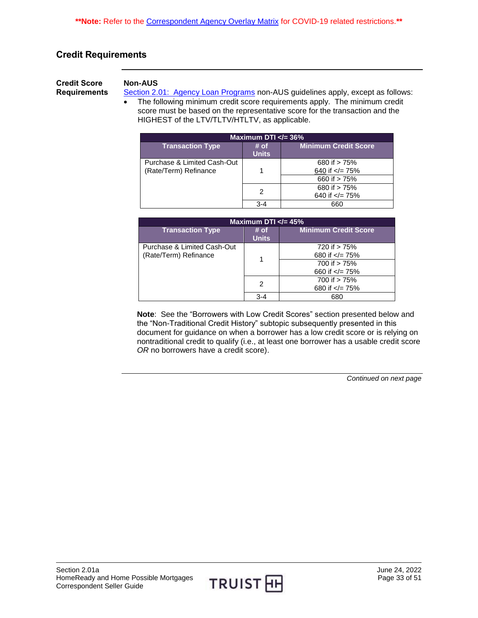# <span id="page-32-0"></span>**Credit Requirements**

<span id="page-32-1"></span>**Credit Score Requirements**

### **Non-AUS**

[Section 2.01: Agency Loan Programs](https://truistsellerguide.com/manual/cor/products/CAgency.pdf) non-AUS guidelines apply, except as follows: • The following minimum credit score requirements apply. The minimum credit score must be based on the representative score for the transaction and the HIGHEST of the LTV/TLTV/HTLTV, as applicable.

| Maximum DTI $\ll$ 36%                                |                      |                                       |  |
|------------------------------------------------------|----------------------|---------------------------------------|--|
| <b>Transaction Type</b>                              | # of<br><b>Units</b> | <b>Minimum Credit Score</b>           |  |
| Purchase & Limited Cash-Out<br>(Rate/Term) Refinance |                      | 680 if $> 75%$<br>640 if $\lt$ /= 75% |  |
|                                                      |                      | 660 if > 75%                          |  |
|                                                      | 2                    | 680 if > 75%<br>640 if $\lt$ /= 75%   |  |
|                                                      | $3 - 4$              | 660                                   |  |

| Maximum DTI $\lt$ /= 45%                             |                      |                                       |  |
|------------------------------------------------------|----------------------|---------------------------------------|--|
| <b>Transaction Type</b>                              | # of<br><b>Units</b> | <b>Minimum Credit Score</b>           |  |
| Purchase & Limited Cash-Out<br>(Rate/Term) Refinance |                      | 720 if > 75%<br>680 if $\lt$ /= 75%   |  |
|                                                      |                      | 700 if $> 75%$<br>660 if $\lt$ /= 75% |  |
|                                                      | 2                    | 700 if > 75%<br>680 if $\lt$ /= 75%   |  |
|                                                      | $3 - 4$              | 680                                   |  |

**Note**: See the "Borrowers with Low Credit Scores" section presented below and the "Non-Traditional Credit History" subtopic subsequently presented in this document for guidance on when a borrower has a low credit score or is relying on nontraditional credit to qualify (i.e., at least one borrower has a usable credit score *OR* no borrowers have a credit score).

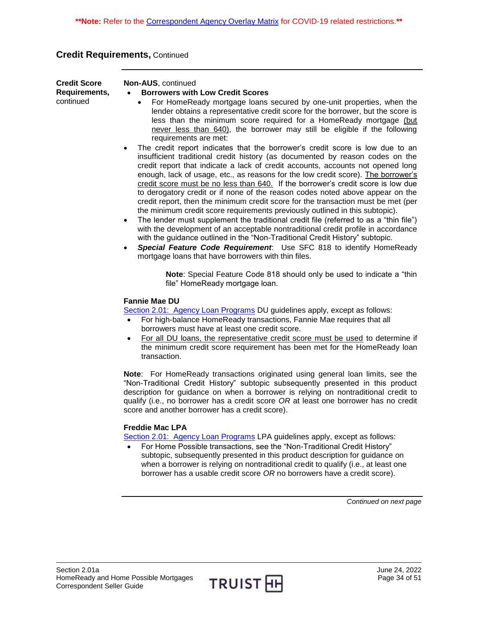# **Credit Requirements,** Continued

| <b>Credit Score</b><br>Requirements,<br>continued | Non-AUS, continued<br><b>Borrowers with Low Credit Scores</b><br>For HomeReady mortgage loans secured by one-unit properties, when the<br>lender obtains a representative credit score for the borrower, but the score is<br>less than the minimum score required for a HomeReady mortgage (but<br>never less than 640), the borrower may still be eligible if the following<br>requirements are met:<br>The credit report indicates that the borrower's credit score is low due to an<br>insufficient traditional credit history (as documented by reason codes on the<br>credit report that indicate a lack of credit accounts, accounts not opened long<br>enough, lack of usage, etc., as reasons for the low credit score). The borrower's<br>credit score must be no less than 640. If the borrower's credit score is low due<br>to derogatory credit or if none of the reason codes noted above appear on the<br>credit report, then the minimum credit score for the transaction must be met (per<br>the minimum credit score requirements previously outlined in this subtopic).<br>The lender must supplement the traditional credit file (referred to as a "thin file")<br>$\bullet$<br>with the development of an acceptable nontraditional credit profile in accordance<br>with the guidance outlined in the "Non-Traditional Credit History" subtopic.<br>Special Feature Code Requirement: Use SFC 818 to identify HomeReady<br>$\bullet$<br>mortgage loans that have borrowers with thin files.<br>Note: Special Feature Code 818 should only be used to indicate a "thin |  |  |  |
|---------------------------------------------------|-------------------------------------------------------------------------------------------------------------------------------------------------------------------------------------------------------------------------------------------------------------------------------------------------------------------------------------------------------------------------------------------------------------------------------------------------------------------------------------------------------------------------------------------------------------------------------------------------------------------------------------------------------------------------------------------------------------------------------------------------------------------------------------------------------------------------------------------------------------------------------------------------------------------------------------------------------------------------------------------------------------------------------------------------------------------------------------------------------------------------------------------------------------------------------------------------------------------------------------------------------------------------------------------------------------------------------------------------------------------------------------------------------------------------------------------------------------------------------------------------------------------------------------------------------------------------------------------|--|--|--|
|                                                   | file" HomeReady mortgage loan.<br><b>Fannie Mae DU</b><br>Section 2.01: Agency Loan Programs DU guidelines apply, except as follows:<br>For high-balance HomeReady transactions, Fannie Mae requires that all<br>$\bullet$<br>borrowers must have at least one credit score.<br>For all DU loans, the representative credit score must be used to determine if<br>the minimum credit score requirement has been met for the HomeReady loan<br>transaction.<br>Note: For HomeReady transactions originated using general loan limits, see the                                                                                                                                                                                                                                                                                                                                                                                                                                                                                                                                                                                                                                                                                                                                                                                                                                                                                                                                                                                                                                              |  |  |  |
|                                                   | "Non-Traditional Credit History" subtopic subsequently presented in this product<br>description for guidance on when a borrower is relying on nontraditional credit to<br>qualify (i.e., no borrower has a credit score OR at least one borrower has no credit<br>score and another borrower has a credit score).<br><b>Freddie Mac LPA</b><br>Section 2.01: Agency Loan Programs LPA guidelines apply, except as follows:<br>For Home Possible transactions, see the "Non-Traditional Credit History"<br>subtopic, subsequently presented in this product description for guidance on<br>when a borrower is relying on nontraditional credit to qualify (i.e., at least one<br>borrower has a usable credit score OR no borrowers have a credit score).                                                                                                                                                                                                                                                                                                                                                                                                                                                                                                                                                                                                                                                                                                                                                                                                                                  |  |  |  |
|                                                   | Continued on next page                                                                                                                                                                                                                                                                                                                                                                                                                                                                                                                                                                                                                                                                                                                                                                                                                                                                                                                                                                                                                                                                                                                                                                                                                                                                                                                                                                                                                                                                                                                                                                    |  |  |  |

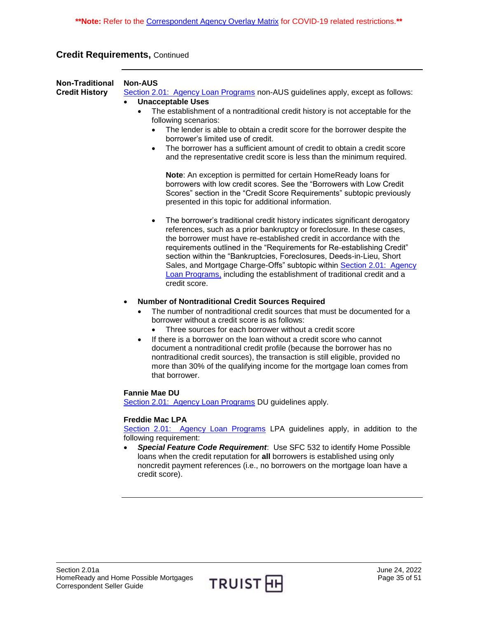# **Credit Requirements,** Continued

<span id="page-34-0"></span>

| <b>Non-Traditional</b><br><b>Credit History</b> | <b>Non-AUS</b><br>Section 2.01: Agency Loan Programs non-AUS guidelines apply, except as follows:<br><b>Unacceptable Uses</b><br>$\bullet$<br>The establishment of a nontraditional credit history is not acceptable for the<br>$\bullet$<br>following scenarios:<br>The lender is able to obtain a credit score for the borrower despite the<br>$\bullet$<br>borrower's limited use of credit.<br>The borrower has a sufficient amount of credit to obtain a credit score<br>$\bullet$<br>and the representative credit score is less than the minimum required.                             |
|-------------------------------------------------|-----------------------------------------------------------------------------------------------------------------------------------------------------------------------------------------------------------------------------------------------------------------------------------------------------------------------------------------------------------------------------------------------------------------------------------------------------------------------------------------------------------------------------------------------------------------------------------------------|
|                                                 | Note: An exception is permitted for certain HomeReady loans for<br>borrowers with low credit scores. See the "Borrowers with Low Credit<br>Scores" section in the "Credit Score Requirements" subtopic previously<br>presented in this topic for additional information.                                                                                                                                                                                                                                                                                                                      |
|                                                 | The borrower's traditional credit history indicates significant derogatory<br>$\bullet$<br>references, such as a prior bankruptcy or foreclosure. In these cases,<br>the borrower must have re-established credit in accordance with the<br>requirements outlined in the "Requirements for Re-establishing Credit"<br>section within the "Bankruptcies, Foreclosures, Deeds-in-Lieu, Short<br>Sales, and Mortgage Charge-Offs" subtopic within Section 2.01: Agency<br>Loan Programs, including the establishment of traditional credit and a<br>credit score.                                |
|                                                 | <b>Number of Nontraditional Credit Sources Required</b><br>$\bullet$<br>The number of nontraditional credit sources that must be documented for a<br>borrower without a credit score is as follows:<br>Three sources for each borrower without a credit score<br>If there is a borrower on the loan without a credit score who cannot<br>document a nontraditional credit profile (because the borrower has no<br>nontraditional credit sources), the transaction is still eligible, provided no<br>more than 30% of the qualifying income for the mortgage loan comes from<br>that borrower. |
|                                                 | <b>Fannie Mae DU</b><br>Section 2.01: Agency Loan Programs DU guidelines apply.<br><b>Freddie Mac LPA</b><br>Section 2.01: Agency Loan Programs LPA guidelines apply, in addition to the<br>following requirement:<br>Special Feature Code Requirement: Use SFC 532 to identify Home Possible<br>loans when the credit reputation for all borrowers is established using only<br>noncredit payment references (i.e., no borrowers on the mortgage loan have a<br>credit score).                                                                                                               |

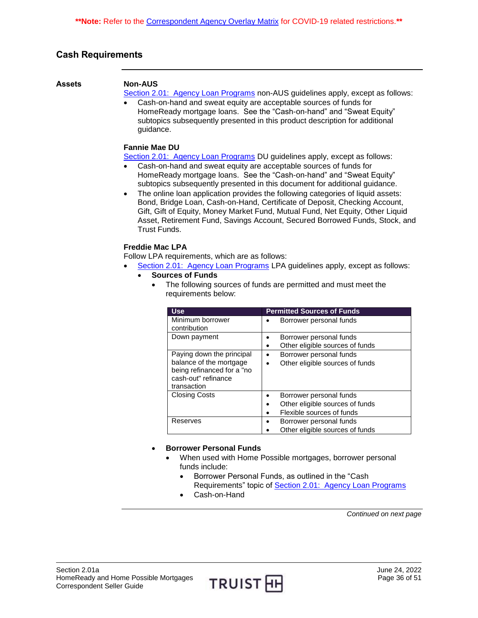# <span id="page-35-0"></span>**Cash Requirements**

#### <span id="page-35-1"></span>**Assets Non-AUS**

[Section 2.01: Agency Loan Programs](https://truistsellerguide.com/manual/cor/products/CAgency.pdf) non-AUS guidelines apply, except as follows:

 Cash-on-hand and sweat equity are acceptable sources of funds for HomeReady mortgage loans. See the "Cash-on-hand" and "Sweat Equity" subtopics subsequently presented in this product description for additional guidance.

#### **Fannie Mae DU**

[Section 2.01: Agency Loan Programs](https://truistsellerguide.com/manual/cor/products/CAgency.pdf) DU guidelines apply, except as follows:

- Cash-on-hand and sweat equity are acceptable sources of funds for HomeReady mortgage loans. See the "Cash-on-hand" and "Sweat Equity" subtopics subsequently presented in this document for additional guidance.
- The online loan application provides the following categories of liquid assets: Bond, Bridge Loan, Cash-on-Hand, Certificate of Deposit, Checking Account, Gift, Gift of Equity, Money Market Fund, Mutual Fund, Net Equity, Other Liquid Asset, Retirement Fund, Savings Account, Secured Borrowed Funds, Stock, and Trust Funds.

#### **Freddie Mac LPA**

Follow LPA requirements, which are as follows:

- [Section 2.01: Agency Loan Programs](https://truistsellerguide.com/manual/cor/products/CAgency.pdf) LPA guidelines apply, except as follows:
	- **Sources of Funds**
		- The following sources of funds are permitted and must meet the requirements below:

| <b>Use</b>                 | <b>Permitted Sources of Funds</b>    |  |
|----------------------------|--------------------------------------|--|
| Minimum borrower           | Borrower personal funds<br>٠         |  |
| contribution               |                                      |  |
| Down payment               | Borrower personal funds<br>٠         |  |
|                            | Other eligible sources of funds<br>٠ |  |
| Paying down the principal  | Borrower personal funds<br>$\bullet$ |  |
| balance of the mortgage    | Other eligible sources of funds      |  |
| being refinanced for a "no |                                      |  |
| cash-out" refinance        |                                      |  |
| transaction                |                                      |  |
| <b>Closing Costs</b>       | Borrower personal funds              |  |
|                            | Other eligible sources of funds<br>٠ |  |
|                            | Flexible sources of funds<br>٠       |  |
| Reserves                   | Borrower personal funds<br>٠         |  |
|                            | Other eligible sources of funds      |  |

#### **Borrower Personal Funds**

- When used with Home Possible mortgages, borrower personal funds include:
	- Borrower Personal Funds, as outlined in the "Cash Requirements" topic of [Section 2.01: Agency Loan Programs](https://truistsellerguide.com/manual/cor/products/CAgency.pdf)
	- Cash-on-Hand

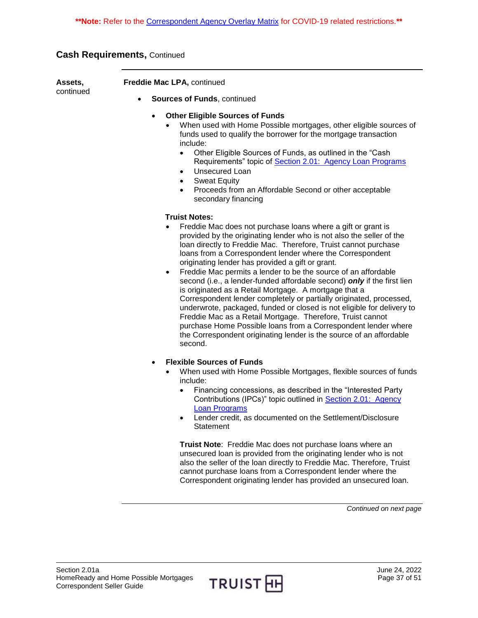**Assets,**  continued

**Freddie Mac LPA,** continued

- **Sources of Funds**, continued
	- **Other Eligible Sources of Funds**
		- When used with Home Possible mortgages, other eligible sources of funds used to qualify the borrower for the mortgage transaction include:
			- Other Eligible Sources of Funds, as outlined in the "Cash Requirements" topic of [Section 2.01: Agency Loan Programs](https://truistsellerguide.com/manual/cor/products/CAgency.pdf)
			- Unsecured Loan
			- Sweat Equity
			- Proceeds from an Affordable Second or other acceptable secondary financing

#### **Truist Notes:**

- Freddie Mac does not purchase loans where a gift or grant is provided by the originating lender who is not also the seller of the loan directly to Freddie Mac. Therefore, Truist cannot purchase loans from a Correspondent lender where the Correspondent originating lender has provided a gift or grant.
- Freddie Mac permits a lender to be the source of an affordable second (i.e., a lender-funded affordable second) *only* if the first lien is originated as a Retail Mortgage. A mortgage that a Correspondent lender completely or partially originated, processed, underwrote, packaged, funded or closed is not eligible for delivery to Freddie Mac as a Retail Mortgage. Therefore, Truist cannot purchase Home Possible loans from a Correspondent lender where the Correspondent originating lender is the source of an affordable second.
- **Flexible Sources of Funds**
	- When used with Home Possible Mortgages, flexible sources of funds include:
		- Financing concessions, as described in the "Interested Party" Contributions (IPCs)" topic outlined in [Section 2.01: Agency](https://truistsellerguide.com/manual/cor/products/CAgency.pdf)  [Loan Programs](https://truistsellerguide.com/manual/cor/products/CAgency.pdf)
		- Lender credit, as documented on the Settlement/Disclosure **Statement**

**Truist Note**: Freddie Mac does not purchase loans where an unsecured loan is provided from the originating lender who is not also the seller of the loan directly to Freddie Mac. Therefore, Truist cannot purchase loans from a Correspondent lender where the Correspondent originating lender has provided an unsecured loan.

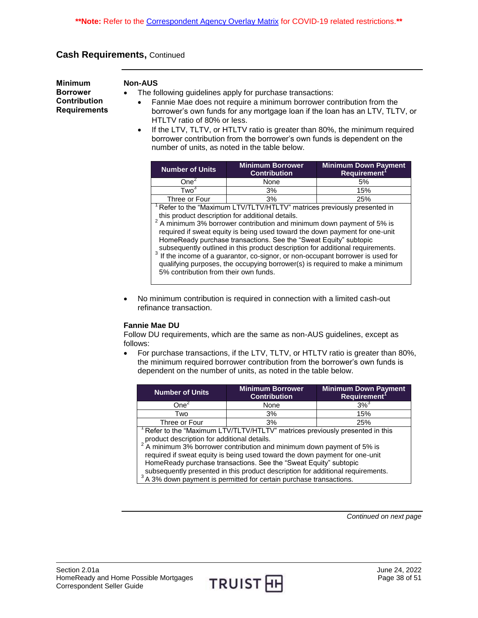<span id="page-37-0"></span>**Minimum Borrower Contribution Requirements**

#### **Non-AUS**

- The following guidelines apply for purchase transactions:
	- Fannie Mae does not require a minimum borrower contribution from the borrower's own funds for any mortgage loan if the loan has an LTV, TLTV, or HTLTV ratio of 80% or less.
	- If the LTV, TLTV, or HTLTV ratio is greater than 80%, the minimum required borrower contribution from the borrower's own funds is dependent on the number of units, as noted in the table below.

| <b>Number of Units</b> | <b>Minimum Borrower</b><br><b>Contribution</b> | <b>Minimum Down Payment</b><br>Requirement <sup>1</sup> |
|------------------------|------------------------------------------------|---------------------------------------------------------|
| $One+$                 | None                                           | .5%                                                     |
| <b>Two</b>             | 3%                                             | 15%                                                     |
| Three or Four          | 3%                                             | 25%                                                     |

<sup>1</sup>Refer to the "Maximum LTV/TLTV/HTLTV" matrices previously presented in

 this product description for additional details. 2 A minimum 3% borrower contribution and minimum down payment of 5% is required if sweat equity is being used toward the down payment for one-unit HomeReady purchase transactions. See the "Sweat Equity" subtopic subsequently outlined in this product description for additional requirements.

If the income of a guarantor, co-signor, or non-occupant borrower is used for qualifying purposes, the occupying borrower(s) is required to make a minimum 5% contribution from their own funds.

 No minimum contribution is required in connection with a limited cash-out refinance transaction.

#### **Fannie Mae DU**

Follow DU requirements, which are the same as non-AUS guidelines, except as follows:

 For purchase transactions, if the LTV, TLTV, or HTLTV ratio is greater than 80%, the minimum required borrower contribution from the borrower's own funds is dependent on the number of units, as noted in the table below.

| <b>Number of Units</b>                                                      | <b>Minimum Borrower</b><br><b>Contribution</b> | <b>Minimum Down Payment</b><br>Requirement <sup>1</sup> |  |
|-----------------------------------------------------------------------------|------------------------------------------------|---------------------------------------------------------|--|
| One <sup>2</sup>                                                            | None                                           | $3\%$ <sup>3</sup>                                      |  |
| Two                                                                         | 3%                                             | 15%                                                     |  |
| Three or Four                                                               | 3%                                             | 25%                                                     |  |
| Refer to the "Maximum LTV/TLTV/HTLTV" matrices previously presented in this |                                                |                                                         |  |

product description for additional details.<br><sup>2</sup> A minimum 3% borrower contribution and minimum down payment of 5% is

 required if sweat equity is being used toward the down payment for one-unit HomeReady purchase transactions. See the "Sweat Equity" subtopic subsequently presented in this product description for additional requirements.

<sup>3</sup>A 3% down payment is permitted for certain purchase transactions.

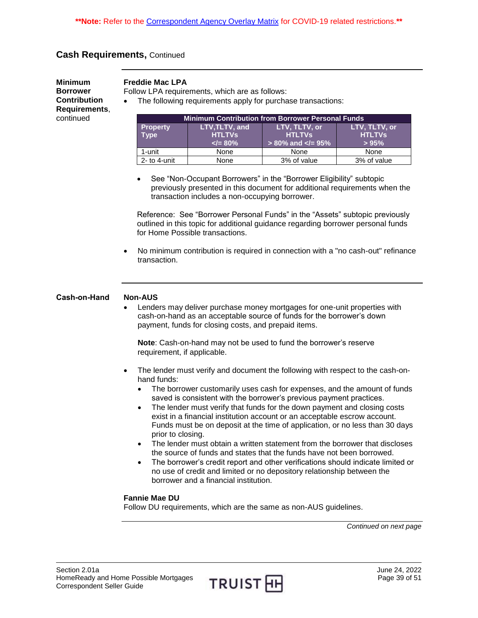**Minimum Borrower Contribution Requirements**, continued

#### **Freddie Mac LPA**

Follow LPA requirements, which are as follows:

The following requirements apply for purchase transactions:

| <b>Minimum Contribution from Borrower Personal Funds</b>           |                          |                           |               |
|--------------------------------------------------------------------|--------------------------|---------------------------|---------------|
| LTV,TLTV, and<br>LTV, TLTV, or<br>LTV, TLTV, or<br><b>Property</b> |                          |                           |               |
| <b>Type</b>                                                        | <b>HTLTVS</b>            | <b>HTLTVs</b>             | <b>HTLTVs</b> |
|                                                                    | $\langle = 80\% \rangle$ | $> 80\%$ and $\lt$ /= 95% | >95%          |
| 1-unit                                                             | None                     | None                      | None          |
| $2-$ to 4-unit                                                     | None                     | 3% of value               | 3% of value   |

• See "Non-Occupant Borrowers" in the "Borrower Eligibility" subtopic previously presented in this document for additional requirements when the transaction includes a non-occupying borrower.

Reference: See "Borrower Personal Funds" in the "Assets" subtopic previously outlined in this topic for additional guidance regarding borrower personal funds for Home Possible transactions.

 No minimum contribution is required in connection with a "no cash-out" refinance transaction.

#### <span id="page-38-0"></span>**Cash-on-Hand Non-AUS**

 Lenders may deliver purchase money mortgages for one-unit properties with cash-on-hand as an acceptable source of funds for the borrower's down payment, funds for closing costs, and prepaid items.

**Note**: Cash-on-hand may not be used to fund the borrower's reserve requirement, if applicable.

- The lender must verify and document the following with respect to the cash-onhand funds:
	- The borrower customarily uses cash for expenses, and the amount of funds saved is consistent with the borrower's previous payment practices.
	- The lender must verify that funds for the down payment and closing costs exist in a financial institution account or an acceptable escrow account. Funds must be on deposit at the time of application, or no less than 30 days prior to closing.
	- The lender must obtain a written statement from the borrower that discloses the source of funds and states that the funds have not been borrowed.
	- The borrower's credit report and other verifications should indicate limited or no use of credit and limited or no depository relationship between the borrower and a financial institution.

#### **Fannie Mae DU**

Follow DU requirements, which are the same as non-AUS guidelines.

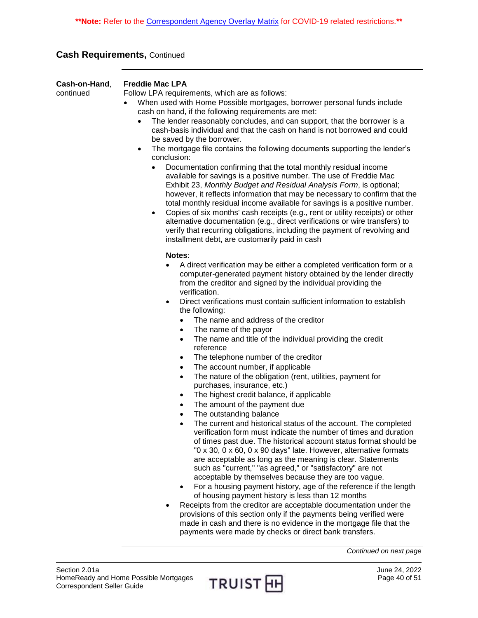| Cash-on-Hand,<br>continued | <b>Freddie Mac LPA</b><br>Follow LPA requirements, which are as follows:<br>When used with Home Possible mortgages, borrower personal funds include<br>cash on hand, if the following requirements are met:<br>The lender reasonably concludes, and can support, that the borrower is a<br>cash-basis individual and that the cash on hand is not borrowed and could<br>be saved by the borrower.<br>The mortgage file contains the following documents supporting the lender's<br>$\bullet$<br>conclusion:<br>Documentation confirming that the total monthly residual income<br>$\bullet$<br>available for savings is a positive number. The use of Freddie Mac<br>Exhibit 23, Monthly Budget and Residual Analysis Form, is optional;<br>however, it reflects information that may be necessary to confirm that the<br>total monthly residual income available for savings is a positive number.<br>Copies of six months' cash receipts (e.g., rent or utility receipts) or other<br>$\bullet$<br>alternative documentation (e.g., direct verifications or wire transfers) to<br>verify that recurring obligations, including the payment of revolving and<br>installment debt, are customarily paid in cash                                                                                                                                                                                                                                                                                                                                                                                                                                                                                                                                                                           |
|----------------------------|-------------------------------------------------------------------------------------------------------------------------------------------------------------------------------------------------------------------------------------------------------------------------------------------------------------------------------------------------------------------------------------------------------------------------------------------------------------------------------------------------------------------------------------------------------------------------------------------------------------------------------------------------------------------------------------------------------------------------------------------------------------------------------------------------------------------------------------------------------------------------------------------------------------------------------------------------------------------------------------------------------------------------------------------------------------------------------------------------------------------------------------------------------------------------------------------------------------------------------------------------------------------------------------------------------------------------------------------------------------------------------------------------------------------------------------------------------------------------------------------------------------------------------------------------------------------------------------------------------------------------------------------------------------------------------------------------------------------------------------------------------------------------------------------|
|                            | Notes:<br>A direct verification may be either a completed verification form or a<br>computer-generated payment history obtained by the lender directly<br>from the creditor and signed by the individual providing the<br>verification.<br>Direct verifications must contain sufficient information to establish<br>$\bullet$<br>the following:<br>The name and address of the creditor<br>$\bullet$<br>The name of the payor<br>$\bullet$<br>The name and title of the individual providing the credit<br>$\bullet$<br>reference<br>The telephone number of the creditor<br>$\bullet$<br>The account number, if applicable<br>$\bullet$<br>The nature of the obligation (rent, utilities, payment for<br>$\bullet$<br>purchases, insurance, etc.)<br>The highest credit balance, if applicable<br>$\bullet$<br>The amount of the payment due<br>$\bullet$<br>The outstanding balance<br>$\bullet$<br>The current and historical status of the account. The completed<br>verification form must indicate the number of times and duration<br>of times past due. The historical account status format should be<br>"0 x 30, 0 x 60, 0 x 90 days" late. However, alternative formats<br>are acceptable as long as the meaning is clear. Statements<br>such as "current," "as agreed," or "satisfactory" are not<br>acceptable by themselves because they are too vague.<br>For a housing payment history, age of the reference if the length<br>$\bullet$<br>of housing payment history is less than 12 months<br>Receipts from the creditor are acceptable documentation under the<br>provisions of this section only if the payments being verified were<br>made in cash and there is no evidence in the mortgage file that the<br>payments were made by checks or direct bank transfers. |
|                            | Continued on next page                                                                                                                                                                                                                                                                                                                                                                                                                                                                                                                                                                                                                                                                                                                                                                                                                                                                                                                                                                                                                                                                                                                                                                                                                                                                                                                                                                                                                                                                                                                                                                                                                                                                                                                                                                    |

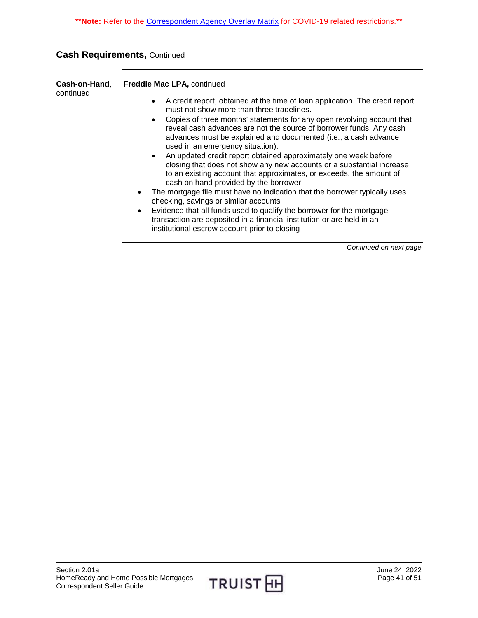| Cash-on-Hand.<br>continued | <b>Freddie Mac LPA.</b> continued                                                                                         |
|----------------------------|---------------------------------------------------------------------------------------------------------------------------|
|                            | A credit report, obtained at the time of loan application. The credit report<br>must not show more than three tradelines. |
|                            | Contag of these menutical atotemption for only angel relativism population                                                |

- Copies of three months' statements for any open revolving account that reveal cash advances are not the source of borrower funds. Any cash advances must be explained and documented (i.e., a cash advance used in an emergency situation).
- An updated credit report obtained approximately one week before closing that does not show any new accounts or a substantial increase to an existing account that approximates, or exceeds, the amount of cash on hand provided by the borrower
- The mortgage file must have no indication that the borrower typically uses checking, savings or similar accounts
- Evidence that all funds used to qualify the borrower for the mortgage transaction are deposited in a financial institution or are held in an institutional escrow account prior to closing

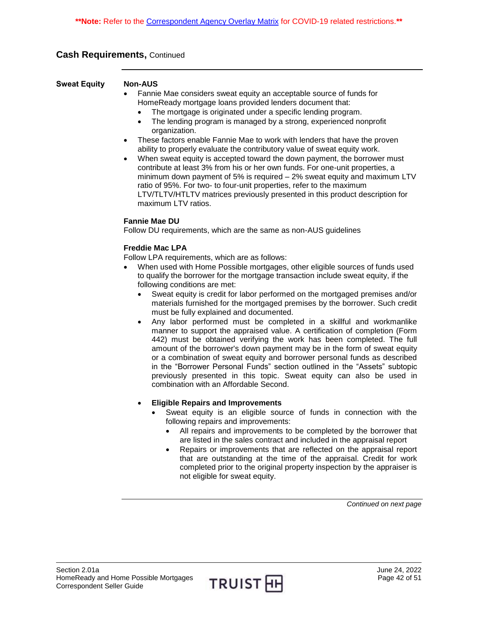<span id="page-41-0"></span>**Sweat Equity Non-AUS** 

- Fannie Mae considers sweat equity an acceptable source of funds for HomeReady mortgage loans provided lenders document that:
	- The mortgage is originated under a specific lending program.
	- The lending program is managed by a strong, experienced nonprofit organization.
- These factors enable Fannie Mae to work with lenders that have the proven ability to properly evaluate the contributory value of sweat equity work.
- When sweat equity is accepted toward the down payment, the borrower must contribute at least 3% from his or her own funds. For one-unit properties, a minimum down payment of 5% is required – 2% sweat equity and maximum LTV ratio of 95%. For two- to four-unit properties, refer to the maximum LTV/TLTV/HTLTV matrices previously presented in this product description for maximum LTV ratios.

#### **Fannie Mae DU**

Follow DU requirements, which are the same as non-AUS guidelines

#### **Freddie Mac LPA**

Follow LPA requirements, which are as follows:

- When used with Home Possible mortgages, other eligible sources of funds used to qualify the borrower for the mortgage transaction include sweat equity, if the following conditions are met:
	- Sweat equity is credit for labor performed on the mortgaged premises and/or materials furnished for the mortgaged premises by the borrower. Such credit must be fully explained and documented.
	- Any labor performed must be completed in a skillful and workmanlike manner to support the appraised value. A certification of completion (Form 442) must be obtained verifying the work has been completed. The full amount of the borrower's down payment may be in the form of sweat equity or a combination of sweat equity and borrower personal funds as described in the "Borrower Personal Funds" section outlined in the "Assets" subtopic previously presented in this topic. Sweat equity can also be used in combination with an Affordable Second.
	- **Eligible Repairs and Improvements** 
		- Sweat equity is an eligible source of funds in connection with the following repairs and improvements:
			- All repairs and improvements to be completed by the borrower that are listed in the sales contract and included in the appraisal report
			- Repairs or improvements that are reflected on the appraisal report that are outstanding at the time of the appraisal. Credit for work completed prior to the original property inspection by the appraiser is not eligible for sweat equity.

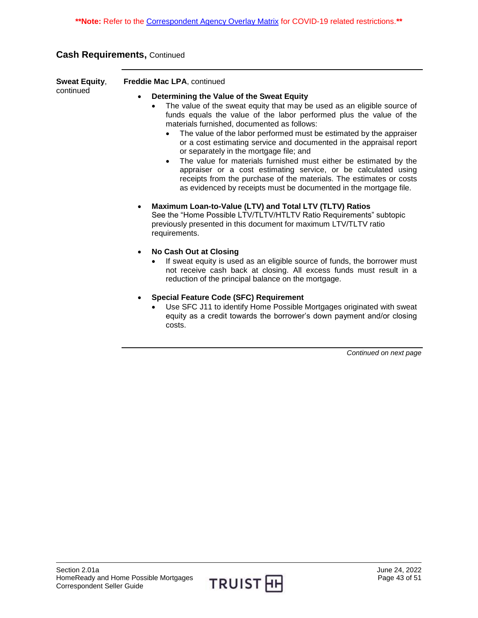| <b>Sweat Equity,</b> | <b>Freddie Mac LPA, continued</b>                                                                                                              |
|----------------------|------------------------------------------------------------------------------------------------------------------------------------------------|
| continued            | Determining the Value of the Sweat Equity                                                                                                      |
|                      | The value of the sweat equity that may be used as an eligible source of<br>funds equals the value of the labor performed plus the value of the |

- the value of the labor performed plus materials furnished, documented as follows: The value of the labor performed must be estimated by the appraiser
	- or a cost estimating service and documented in the appraisal report or separately in the mortgage file; and
- The value for materials furnished must either be estimated by the appraiser or a cost estimating service, or be calculated using receipts from the purchase of the materials. The estimates or costs as evidenced by receipts must be documented in the mortgage file.
- **Maximum Loan-to-Value (LTV) and Total LTV (TLTV) Ratios**  See the "Home Possible LTV/TLTV/HTLTV Ratio Requirements" subtopic previously presented in this document for maximum LTV/TLTV ratio requirements.
- **No Cash Out at Closing** 
	- If sweat equity is used as an eligible source of funds, the borrower must not receive cash back at closing. All excess funds must result in a reduction of the principal balance on the mortgage.
- **Special Feature Code (SFC) Requirement** 
	- Use SFC J11 to identify Home Possible Mortgages originated with sweat equity as a credit towards the borrower's down payment and/or closing costs.

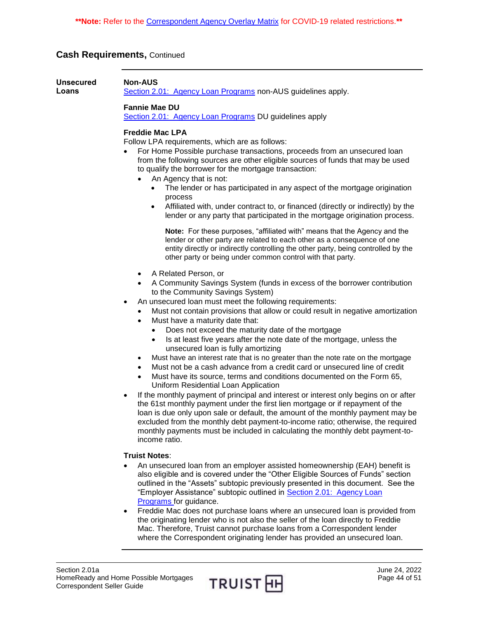<span id="page-43-0"></span>

| <b>Unsecured</b><br>Loans | <b>Non-AUS</b><br>Section 2.01: Agency Loan Programs non-AUS guidelines apply.                                                                                                                                                                                                                                                                                                                                                                                                                                                                                                                                                                                                                                                                                                                                                                                                                                                                                                                                                                                                                                                                                                                                                                                                              |  |  |  |  |
|---------------------------|---------------------------------------------------------------------------------------------------------------------------------------------------------------------------------------------------------------------------------------------------------------------------------------------------------------------------------------------------------------------------------------------------------------------------------------------------------------------------------------------------------------------------------------------------------------------------------------------------------------------------------------------------------------------------------------------------------------------------------------------------------------------------------------------------------------------------------------------------------------------------------------------------------------------------------------------------------------------------------------------------------------------------------------------------------------------------------------------------------------------------------------------------------------------------------------------------------------------------------------------------------------------------------------------|--|--|--|--|
|                           | <b>Fannie Mae DU</b><br>Section 2.01: Agency Loan Programs DU guidelines apply                                                                                                                                                                                                                                                                                                                                                                                                                                                                                                                                                                                                                                                                                                                                                                                                                                                                                                                                                                                                                                                                                                                                                                                                              |  |  |  |  |
|                           | <b>Freddie Mac LPA</b><br>Follow LPA requirements, which are as follows:<br>For Home Possible purchase transactions, proceeds from an unsecured loan<br>from the following sources are other eligible sources of funds that may be used<br>to qualify the borrower for the mortgage transaction:<br>An Agency that is not:<br>The lender or has participated in any aspect of the mortgage origination<br>process<br>Affiliated with, under contract to, or financed (directly or indirectly) by the<br>٠<br>lender or any party that participated in the mortgage origination process.<br>Note: For these purposes, "affiliated with" means that the Agency and the<br>lender or other party are related to each other as a consequence of one<br>entity directly or indirectly controlling the other party, being controlled by the<br>other party or being under common control with that party.                                                                                                                                                                                                                                                                                                                                                                                         |  |  |  |  |
|                           | A Related Person, or<br>A Community Savings System (funds in excess of the borrower contribution<br>to the Community Savings System)<br>An unsecured loan must meet the following requirements:<br>$\bullet$<br>Must not contain provisions that allow or could result in negative amortization<br>Must have a maturity date that:<br>Does not exceed the maturity date of the mortgage<br>$\bullet$<br>Is at least five years after the note date of the mortgage, unless the<br>$\bullet$<br>unsecured loan is fully amortizing<br>Must have an interest rate that is no greater than the note rate on the mortgage<br>٠<br>Must not be a cash advance from a credit card or unsecured line of credit<br>٠<br>Must have its source, terms and conditions documented on the Form 65,<br>Uniform Residential Loan Application<br>If the monthly payment of principal and interest or interest only begins on or after<br>$\bullet$<br>the 61st monthly payment under the first lien mortgage or if repayment of the<br>loan is due only upon sale or default, the amount of the monthly payment may be<br>excluded from the monthly debt payment-to-income ratio; otherwise, the required<br>monthly payments must be included in calculating the monthly debt payment-to-<br>income ratio. |  |  |  |  |
|                           | <b>Truist Notes:</b><br>An unsecured loan from an employer assisted homeownership (EAH) benefit is<br>also eligible and is covered under the "Other Eligible Sources of Funds" section<br>outlined in the "Assets" subtopic previously presented in this document. See the<br>"Employer Assistance" subtopic outlined in Section 2.01: Agency Loan<br>Programs for guidance.                                                                                                                                                                                                                                                                                                                                                                                                                                                                                                                                                                                                                                                                                                                                                                                                                                                                                                                |  |  |  |  |

 Freddie Mac does not purchase loans where an unsecured loan is provided from the originating lender who is not also the seller of the loan directly to Freddie Mac. Therefore, Truist cannot purchase loans from a Correspondent lender where the Correspondent originating lender has provided an unsecured loan.

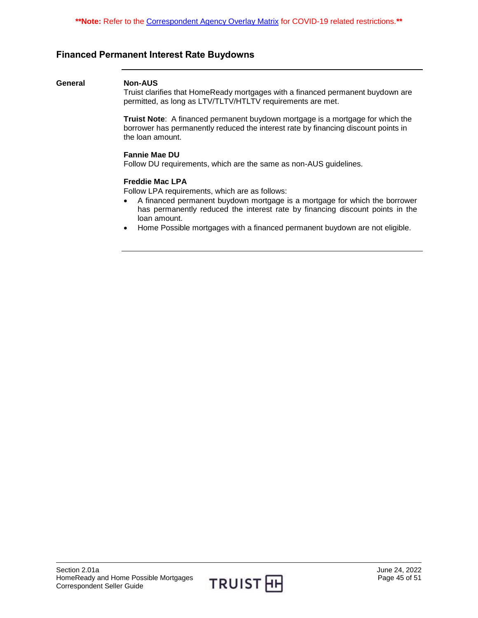# <span id="page-44-0"></span>**Financed Permanent Interest Rate Buydowns**

#### **General Non-AUS**

Truist clarifies that HomeReady mortgages with a financed permanent buydown are permitted, as long as LTV/TLTV/HTLTV requirements are met.

**Truist Note**: A financed permanent buydown mortgage is a mortgage for which the borrower has permanently reduced the interest rate by financing discount points in the loan amount.

#### **Fannie Mae DU**

Follow DU requirements, which are the same as non-AUS guidelines.

#### **Freddie Mac LPA**

Follow LPA requirements, which are as follows:

- A financed permanent buydown mortgage is a mortgage for which the borrower has permanently reduced the interest rate by financing discount points in the loan amount.
- Home Possible mortgages with a financed permanent buydown are not eligible.

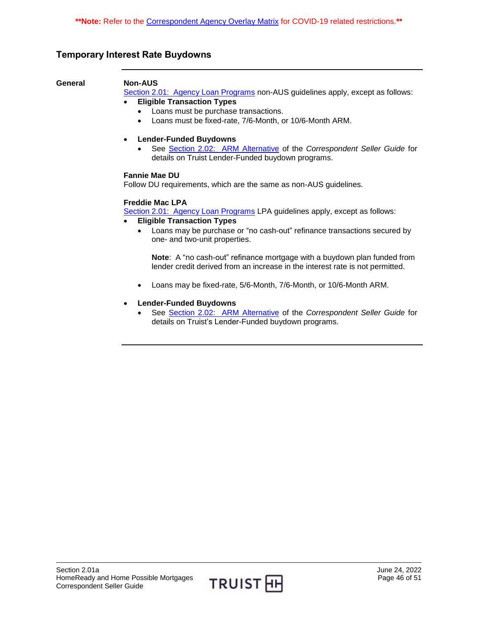# <span id="page-45-0"></span>**Temporary Interest Rate Buydowns**

#### **General Non-AUS**

[Section 2.01: Agency Loan Programs](https://truistsellerguide.com/manual/cor/products/CAgency.pdf) non-AUS guidelines apply, except as follows:

**Eligible Transaction Types**

- Loans must be purchase transactions.
- Loans must be fixed-rate, 7/6-Month, or 10/6-Month ARM.
- **Lender-Funded Buydowns**
	- See [Section 2.02: ARM Alternative](https://truistsellerguide.com/manual/cor/products/CARMAlternative.pdf) of the *Correspondent Seller Guide* for details on Truist Lender-Funded buydown programs.

#### **Fannie Mae DU**

Follow DU requirements, which are the same as non-AUS guidelines.

#### **Freddie Mac LPA**

[Section 2.01: Agency Loan Programs](https://truistsellerguide.com/manual/cor/products/CAgency.pdf) LPA guidelines apply, except as follows:

- **Eligible Transaction Types**
	- Loans may be purchase or "no cash-out" refinance transactions secured by one- and two-unit properties.

**Note**: A "no cash-out" refinance mortgage with a buydown plan funded from lender credit derived from an increase in the interest rate is not permitted.

Loans may be fixed-rate, 5/6-Month, 7/6-Month, or 10/6-Month ARM.

#### **Lender-Funded Buydowns**

 See [Section 2.02: ARM Alternative](https://truistsellerguide.com/manual/cor/products/CARMAlternative.pdf) of the *Correspondent Seller Guide* for details on Truist's Lender-Funded buydown programs.

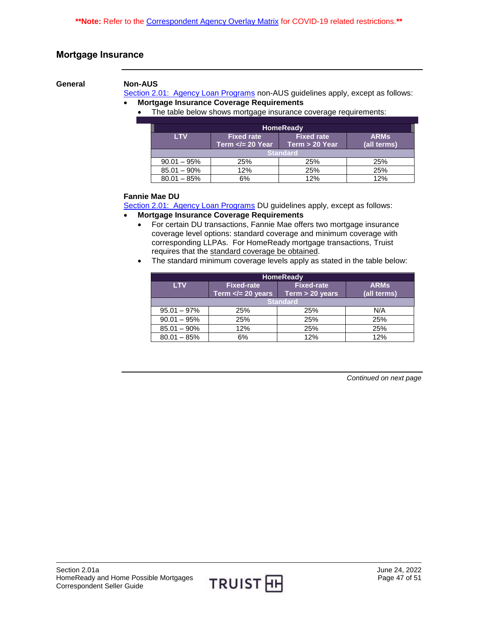# <span id="page-46-0"></span>**Mortgage Insurance**

**General Non-AUS**

[Section 2.01: Agency Loan Programs](https://truistsellerguide.com/manual/cor/products/CAgency.pdf) non-AUS guidelines apply, except as follows: **Mortgage Insurance Coverage Requirements**

• The table below shows mortgage insurance coverage requirements:

| <b>HomeReady</b> |                                           |                                     |                            |
|------------------|-------------------------------------------|-------------------------------------|----------------------------|
| <b>LTV</b>       | <b>Fixed rate</b><br>Term $\lt$ = 20 Year | <b>Fixed rate</b><br>Term > 20 Year | <b>ARMS</b><br>(all terms) |
| <b>Standard</b>  |                                           |                                     |                            |
| $90.01 - 95\%$   | 25%                                       | 25%                                 | 25%                        |
| $85.01 - 90\%$   | 12%                                       | 25%                                 | 25%                        |
| $80.01 - 85%$    | 6%                                        | 12%                                 | 12%                        |

#### **Fannie Mae DU**

[Section 2.01: Agency Loan Programs](https://truistsellerguide.com/manual/cor/products/CAgency.pdf) DU guidelines apply, except as follows:

#### **Mortgage Insurance Coverage Requirements**

- For certain DU transactions, Fannie Mae offers two mortgage insurance coverage level options: standard coverage and minimum coverage with corresponding LLPAs. For HomeReady mortgage transactions, Truist requires that the standard coverage be obtained.
- The standard minimum coverage levels apply as stated in the table below:

| <b>HomeReady</b> |                                            |                                      |                            |
|------------------|--------------------------------------------|--------------------------------------|----------------------------|
| <b>LTV</b>       | <b>Fixed-rate</b><br>Term $\lt$ = 20 years | <b>Fixed-rate</b><br>Term > 20 years | <b>ARMs</b><br>(all terms) |
| <b>Standard</b>  |                                            |                                      |                            |
| $95.01 - 97\%$   | 25%                                        | 25%                                  | N/A                        |
| $90.01 - 95%$    | 25%                                        | 25%                                  | 25%                        |
| $85.01 - 90\%$   | 12%                                        | 25%                                  | 25%                        |
| $80.01 - 85%$    | 6%                                         | 12%                                  | 12%                        |

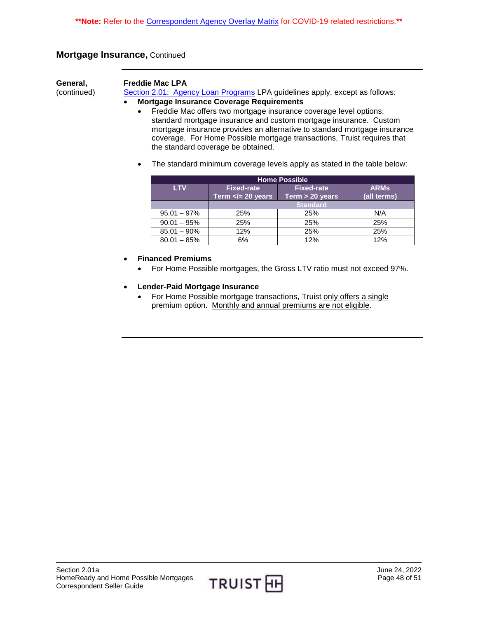# **Mortgage Insurance,** Continued

**General,**  (continued)

#### **Freddie Mac LPA**

[Section 2.01: Agency Loan Programs](https://truistsellerguide.com/manual/cor/products/CAgency.pdf) LPA guidelines apply, except as follows:

#### **Mortgage Insurance Coverage Requirements**

- Freddie Mac offers two mortgage insurance coverage level options: standard mortgage insurance and custom mortgage insurance. Custom mortgage insurance provides an alternative to standard mortgage insurance coverage. For Home Possible mortgage transactions, Truist requires that the standard coverage be obtained.
- The standard minimum coverage levels apply as stated in the table below:

| <b>Home Possible</b> |                                             |                                      |                            |
|----------------------|---------------------------------------------|--------------------------------------|----------------------------|
| <b>LTV</b>           | <b>Fixed-rate</b><br>Term $\lt$ /= 20 years | <b>Fixed-rate</b><br>Term > 20 years | <b>ARMS</b><br>(all terms) |
|                      | <b>Standard</b>                             |                                      |                            |
| $95.01 - 97\%$       | 25%                                         | 25%                                  | N/A                        |
| $90.01 - 95%$        | 25%                                         | 25%                                  | 25%                        |
| $85.01 - 90\%$       | 12%                                         | 25%                                  | 25%                        |
| $80.01 - 85%$        | 6%                                          | 12%                                  | 12%                        |

### **Financed Premiums**

- For Home Possible mortgages, the Gross LTV ratio must not exceed 97%.
- **Lender-Paid Mortgage Insurance** 
	- For Home Possible mortgage transactions, Truist only offers a single premium option. Monthly and annual premiums are not eligible.

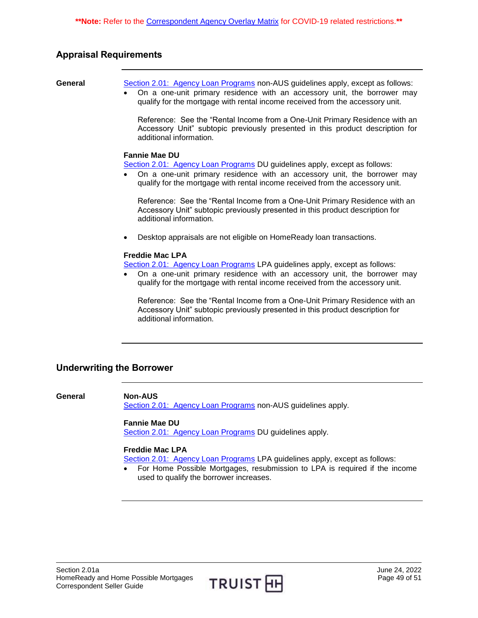# <span id="page-48-0"></span>**Appraisal Requirements**

- **General** [Section 2.01: Agency Loan Programs](https://truistsellerguide.com/manual/cor/products/CAgency.pdf) non-AUS guidelines apply, except as follows: On a one-unit primary residence with an accessory unit, the borrower may
	- qualify for the mortgage with rental income received from the accessory unit.

Reference: See the "Rental Income from a One-Unit Primary Residence with an Accessory Unit" subtopic previously presented in this product description for additional information.

#### **Fannie Mae DU**

[Section 2.01: Agency Loan Programs](https://truistsellerguide.com/manual/cor/products/CAgency.pdf) DU guidelines apply, except as follows:

 On a one-unit primary residence with an accessory unit, the borrower may qualify for the mortgage with rental income received from the accessory unit.

Reference: See the "Rental Income from a One-Unit Primary Residence with an Accessory Unit" subtopic previously presented in this product description for additional information.

Desktop appraisals are not eligible on HomeReady loan transactions.

#### **Freddie Mac LPA**

[Section 2.01: Agency Loan Programs](https://truistsellerguide.com/manual/cor/products/CAgency.pdf) LPA guidelines apply, except as follows:

 On a one-unit primary residence with an accessory unit, the borrower may qualify for the mortgage with rental income received from the accessory unit.

Reference: See the "Rental Income from a One-Unit Primary Residence with an Accessory Unit" subtopic previously presented in this product description for additional information.

# <span id="page-48-1"></span>**Underwriting the Borrower**

**General Non-AUS** [Section 2.01: Agency Loan Programs](https://truistsellerguide.com/manual/cor/products/CAgency.pdf) non-AUS guidelines apply.

#### **Fannie Mae DU**

[Section 2.01: Agency Loan Programs](https://truistsellerguide.com/manual/cor/products/CAgency.pdf) DU guidelines apply.

#### **Freddie Mac LPA**

[Section 2.01: Agency Loan Programs](https://truistsellerguide.com/manual/cor/products/CAgency.pdf) LPA guidelines apply, except as follows:

 For Home Possible Mortgages, resubmission to LPA is required if the income used to qualify the borrower increases.

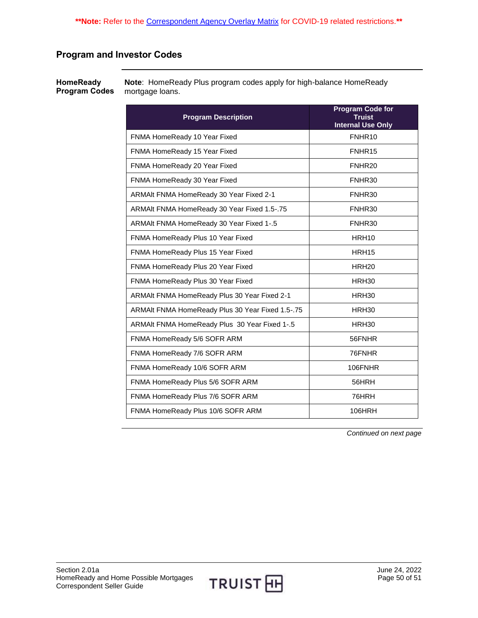# <span id="page-49-0"></span>**Program and Investor Codes**

<span id="page-49-1"></span>**HomeReady Program Codes Note**: HomeReady Plus program codes apply for high-balance HomeReady mortgage loans.

| <b>Program Description</b>                       | <b>Program Code for</b><br>Truist<br><b>Internal Use Only</b> |
|--------------------------------------------------|---------------------------------------------------------------|
| FNMA HomeReady 10 Year Fixed                     | FNHR10                                                        |
| FNMA HomeReady 15 Year Fixed                     | FNHR15                                                        |
| FNMA HomeReady 20 Year Fixed                     | FNHR <sub>20</sub>                                            |
| FNMA HomeReady 30 Year Fixed                     | FNHR30                                                        |
| ARMAIt FNMA HomeReady 30 Year Fixed 2-1          | FNHR30                                                        |
| ARMAIt FNMA HomeReady 30 Year Fixed 1.5-.75      | FNHR30                                                        |
| ARMAIt FNMA HomeReady 30 Year Fixed 1-.5         | FNHR30                                                        |
| FNMA HomeReady Plus 10 Year Fixed                | HRH <sub>10</sub>                                             |
| FNMA HomeReady Plus 15 Year Fixed                | HRH <sub>15</sub>                                             |
| FNMA HomeReady Plus 20 Year Fixed                | HRH <sub>20</sub>                                             |
| FNMA HomeReady Plus 30 Year Fixed                | HRH30                                                         |
| ARMAIt FNMA HomeReady Plus 30 Year Fixed 2-1     | HRH <sub>30</sub>                                             |
| ARMAIt FNMA HomeReady Plus 30 Year Fixed 1.5-.75 | HRH <sub>30</sub>                                             |
| ARMAIt FNMA HomeReady Plus 30 Year Fixed 1-.5    | HRH30                                                         |
| FNMA HomeReady 5/6 SOFR ARM                      | 56FNHR                                                        |
| FNMA HomeReady 7/6 SOFR ARM                      | 76FNHR                                                        |
| FNMA HomeReady 10/6 SOFR ARM                     | 106FNHR                                                       |
| FNMA HomeReady Plus 5/6 SOFR ARM                 | 56HRH                                                         |
| FNMA HomeReady Plus 7/6 SOFR ARM                 | 76HRH                                                         |
| FNMA HomeReady Plus 10/6 SOFR ARM                | 106HRH                                                        |